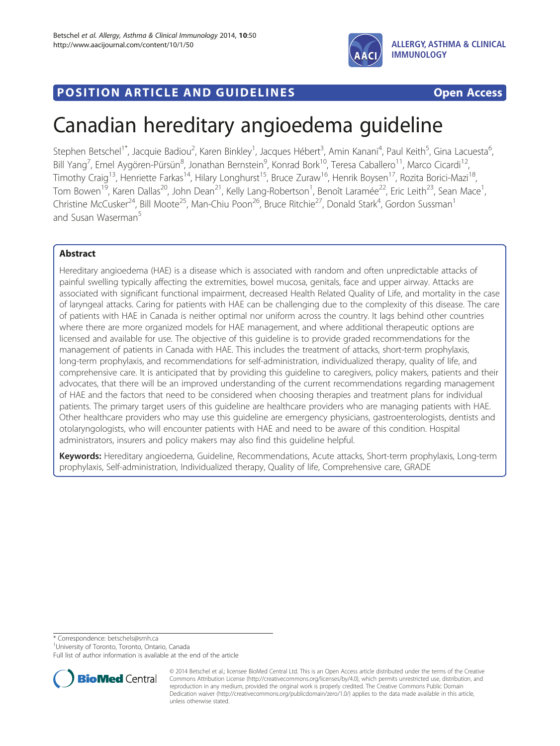

# POSITION ARTICLE AND GUIDELINES **Solution** Open Access

# Canadian hereditary angioedema guideline

Stephen Betschel<sup>1\*</sup>, Jacquie Badiou<sup>2</sup>, Karen Binkley<sup>1</sup>, Jacques Hébert<sup>3</sup>, Amin Kanani<sup>4</sup>, Paul Keith<sup>5</sup>, Gina Lacuesta<sup>6</sup> , Bill Yang<sup>7</sup>, Emel Aygören-Pürsün<sup>8</sup>, Jonathan Bernstein<sup>9</sup>, Konrad Bork<sup>10</sup>, Teresa Caballero<sup>11</sup>, Marco Cicardi<sup>12</sup>, Timothy Craig<sup>13</sup>, Henriette Farkas<sup>14</sup>, Hilary Longhurst<sup>15</sup>, Bruce Zuraw<sup>16</sup>, Henrik Boysen<sup>17</sup>, Rozita Borici-Mazi<sup>18</sup>, Tom Bowen<sup>19</sup>, Karen Dallas<sup>20</sup>, John Dean<sup>21</sup>, Kelly Lang-Robertson<sup>1</sup>, Benoît Laramée<sup>22</sup>, Eric Leith<sup>23</sup>, Sean Mace<sup>1</sup> , Christine McCusker<sup>24</sup>, Bill Moote<sup>25</sup>, Man-Chiu Poon<sup>26</sup>, Bruce Ritchie<sup>27</sup>, Donald Stark<sup>4</sup>, Gordon Sussman<sup>1</sup> and Susan Waserman<sup>5</sup>

# Abstract

Hereditary angioedema (HAE) is a disease which is associated with random and often unpredictable attacks of painful swelling typically affecting the extremities, bowel mucosa, genitals, face and upper airway. Attacks are associated with significant functional impairment, decreased Health Related Quality of Life, and mortality in the case of laryngeal attacks. Caring for patients with HAE can be challenging due to the complexity of this disease. The care of patients with HAE in Canada is neither optimal nor uniform across the country. It lags behind other countries where there are more organized models for HAE management, and where additional therapeutic options are licensed and available for use. The objective of this guideline is to provide graded recommendations for the management of patients in Canada with HAE. This includes the treatment of attacks, short-term prophylaxis, long-term prophylaxis, and recommendations for self-administration, individualized therapy, quality of life, and comprehensive care. It is anticipated that by providing this guideline to caregivers, policy makers, patients and their advocates, that there will be an improved understanding of the current recommendations regarding management of HAE and the factors that need to be considered when choosing therapies and treatment plans for individual patients. The primary target users of this guideline are healthcare providers who are managing patients with HAE. Other healthcare providers who may use this guideline are emergency physicians, gastroenterologists, dentists and otolaryngologists, who will encounter patients with HAE and need to be aware of this condition. Hospital administrators, insurers and policy makers may also find this guideline helpful.

Keywords: Hereditary angioedema, Guideline, Recommendations, Acute attacks, Short-term prophylaxis, Long-term prophylaxis, Self-administration, Individualized therapy, Quality of life, Comprehensive care, GRADE

\* Correspondence: [betschels@smh.ca](mailto:betschels@smh.ca) <sup>1</sup>

University of Toronto, Toronto, Ontario, Canada

Full list of author information is available at the end of the article



<sup>© 2014</sup> Betschel et al.; licensee BioMed Central Ltd. This is an Open Access article distributed under the terms of the Creative Commons Attribution License [\(http://creativecommons.org/licenses/by/4.0\)](http://creativecommons.org/licenses/by/4.0), which permits unrestricted use, distribution, and reproduction in any medium, provided the original work is properly credited. The Creative Commons Public Domain Dedication waiver [\(http://creativecommons.org/publicdomain/zero/1.0/](http://creativecommons.org/publicdomain/zero/1.0/)) applies to the data made available in this article, unless otherwise stated.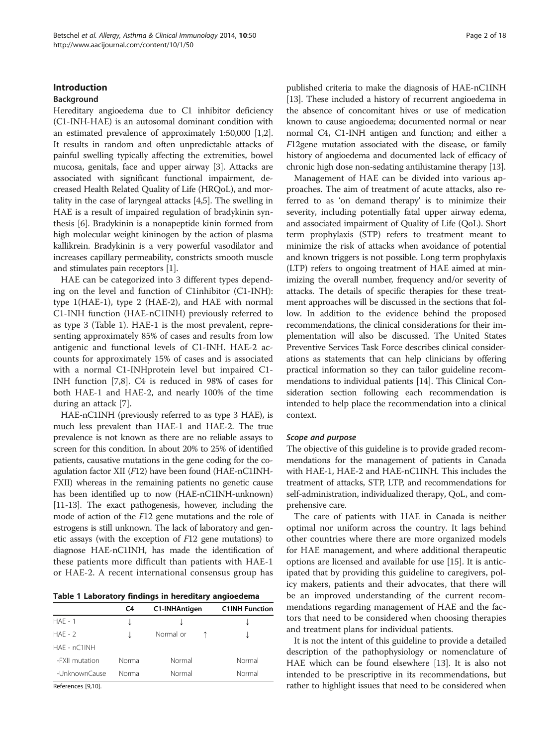#### Introduction

#### Background

Hereditary angioedema due to C1 inhibitor deficiency (C1-INH-HAE) is an autosomal dominant condition with an estimated prevalence of approximately 1:50,000 [[1](#page-15-0),[2](#page-15-0)]. It results in random and often unpredictable attacks of painful swelling typically affecting the extremities, bowel mucosa, genitals, face and upper airway [[3\]](#page-15-0). Attacks are associated with significant functional impairment, decreased Health Related Quality of Life (HRQoL), and mortality in the case of laryngeal attacks [[4,5\]](#page-15-0). The swelling in HAE is a result of impaired regulation of bradykinin synthesis [\[6](#page-15-0)]. Bradykinin is a nonapeptide kinin formed from high molecular weight kininogen by the action of plasma kallikrein. Bradykinin is a very powerful vasodilator and increases capillary permeability, constricts smooth muscle and stimulates pain receptors [[1](#page-15-0)].

HAE can be categorized into 3 different types depending on the level and function of C1inhibitor (C1-INH): type 1(HAE-1), type 2 (HAE-2), and HAE with normal C1-INH function (HAE-nC1INH) previously referred to as type 3 (Table 1). HAE-1 is the most prevalent, representing approximately 85% of cases and results from low antigenic and functional levels of C1-INH. HAE-2 accounts for approximately 15% of cases and is associated with a normal C1-INHprotein level but impaired C1- INH function [\[7](#page-15-0),[8](#page-15-0)]. C4 is reduced in 98% of cases for both HAE-1 and HAE-2, and nearly 100% of the time during an attack [[7\]](#page-15-0).

HAE-nC1INH (previously referred to as type 3 HAE), is much less prevalent than HAE-1 and HAE-2. The true prevalence is not known as there are no reliable assays to screen for this condition. In about 20% to 25% of identified patients, causative mutations in the gene coding for the coagulation factor XII (F12) have been found (HAE-nC1INH-FXII) whereas in the remaining patients no genetic cause has been identified up to now (HAE-nC1INH-unknown) [[11](#page-15-0)-[13](#page-15-0)]. The exact pathogenesis, however, including the mode of action of the F12 gene mutations and the role of estrogens is still unknown. The lack of laboratory and genetic assays (with the exception of F12 gene mutations) to diagnose HAE-nC1INH, has made the identification of these patients more difficult than patients with HAE-1 or HAE-2. A recent international consensus group has

Table 1 Laboratory findings in hereditary angioedema

|                  | C4     | C1-INHAntigen |  | <b>C1INH Function</b> |
|------------------|--------|---------------|--|-----------------------|
| $HAF - 1$        |        |               |  |                       |
| $HAF - 2$        |        | Normal or     |  |                       |
| HAF - nC1INH     |        |               |  |                       |
| -FXII mutation   | Normal | Normal        |  | Normal                |
| -UnknownCause    | Normal | Normal        |  | Normal                |
| References [910] |        |               |  |                       |

eferences [[9](#page-15-0),[10\]](#page-15-0)

published criteria to make the diagnosis of HAE-nC1INH [[13](#page-15-0)]. These included a history of recurrent angioedema in the absence of concomitant hives or use of medication known to cause angioedema; documented normal or near normal C4, C1-INH antigen and function; and either a F12gene mutation associated with the disease, or family history of angioedema and documented lack of efficacy of chronic high dose non-sedating antihistamine therapy [\[13](#page-15-0)].

Management of HAE can be divided into various approaches. The aim of treatment of acute attacks, also referred to as 'on demand therapy' is to minimize their severity, including potentially fatal upper airway edema, and associated impairment of Quality of Life (QoL). Short term prophylaxis (STP) refers to treatment meant to minimize the risk of attacks when avoidance of potential and known triggers is not possible. Long term prophylaxis (LTP) refers to ongoing treatment of HAE aimed at minimizing the overall number, frequency and/or severity of attacks. The details of specific therapies for these treatment approaches will be discussed in the sections that follow. In addition to the evidence behind the proposed recommendations, the clinical considerations for their implementation will also be discussed. The United States Preventive Services Task Force describes clinical considerations as statements that can help clinicians by offering practical information so they can tailor guideline recommendations to individual patients [[14\]](#page-15-0). This Clinical Consideration section following each recommendation is intended to help place the recommendation into a clinical context.

#### Scope and purpose

The objective of this guideline is to provide graded recommendations for the management of patients in Canada with HAE-1, HAE-2 and HAE-nC1INH. This includes the treatment of attacks, STP, LTP, and recommendations for self-administration, individualized therapy, QoL, and comprehensive care.

The care of patients with HAE in Canada is neither optimal nor uniform across the country. It lags behind other countries where there are more organized models for HAE management, and where additional therapeutic options are licensed and available for use [[15](#page-15-0)]. It is anticipated that by providing this guideline to caregivers, policy makers, patients and their advocates, that there will be an improved understanding of the current recommendations regarding management of HAE and the factors that need to be considered when choosing therapies and treatment plans for individual patients.

It is not the intent of this guideline to provide a detailed description of the pathophysiology or nomenclature of HAE which can be found elsewhere [\[13](#page-15-0)]. It is also not intended to be prescriptive in its recommendations, but rather to highlight issues that need to be considered when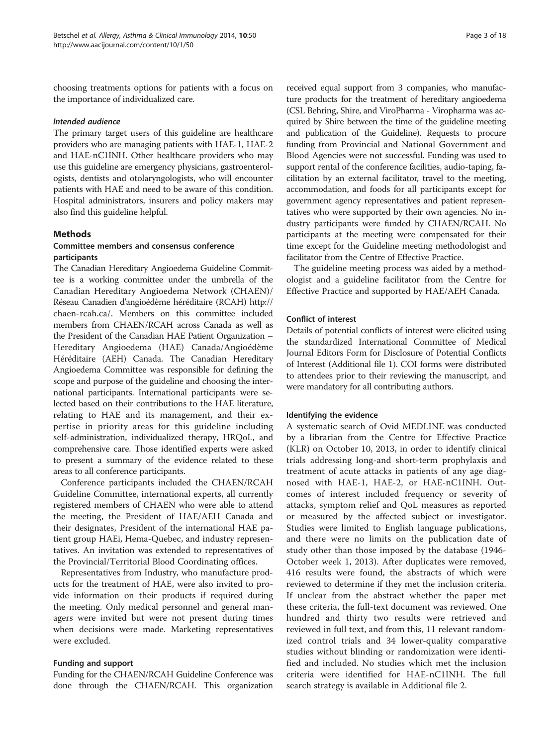choosing treatments options for patients with a focus on the importance of individualized care.

#### Intended audience

The primary target users of this guideline are healthcare providers who are managing patients with HAE-1, HAE-2 and HAE-nC1INH. Other healthcare providers who may use this guideline are emergency physicians, gastroenterologists, dentists and otolaryngologists, who will encounter patients with HAE and need to be aware of this condition. Hospital administrators, insurers and policy makers may also find this guideline helpful.

#### Methods

# Committee members and consensus conference participants

The Canadian Hereditary Angioedema Guideline Committee is a working committee under the umbrella of the Canadian Hereditary Angioedema Network (CHAEN)/ Réseau Canadien d'angioédème héréditaire (RCAH) [http://](http://chaen-rcah.ca/) [chaen-rcah.ca/.](http://chaen-rcah.ca/) Members on this committee included members from CHAEN/RCAH across Canada as well as the President of the Canadian HAE Patient Organization – Hereditary Angioedema (HAE) Canada/Angioédème Héréditaire (AEH) Canada. The Canadian Hereditary Angioedema Committee was responsible for defining the scope and purpose of the guideline and choosing the international participants. International participants were selected based on their contributions to the HAE literature, relating to HAE and its management, and their expertise in priority areas for this guideline including self-administration, individualized therapy, HRQoL, and comprehensive care. Those identified experts were asked to present a summary of the evidence related to these areas to all conference participants.

Conference participants included the CHAEN/RCAH Guideline Committee, international experts, all currently registered members of CHAEN who were able to attend the meeting, the President of HAE/AEH Canada and their designates, President of the international HAE patient group HAEi, Hema-Quebec, and industry representatives. An invitation was extended to representatives of the Provincial/Territorial Blood Coordinating offices.

Representatives from Industry, who manufacture products for the treatment of HAE, were also invited to provide information on their products if required during the meeting. Only medical personnel and general managers were invited but were not present during times when decisions were made. Marketing representatives were excluded.

#### Funding and support

Funding for the CHAEN/RCAH Guideline Conference was done through the CHAEN/RCAH. This organization

received equal support from 3 companies, who manufacture products for the treatment of hereditary angioedema (CSL Behring, Shire, and ViroPharma - Viropharma was acquired by Shire between the time of the guideline meeting and publication of the Guideline). Requests to procure funding from Provincial and National Government and Blood Agencies were not successful. Funding was used to support rental of the conference facilities, audio-taping, facilitation by an external facilitator, travel to the meeting, accommodation, and foods for all participants except for government agency representatives and patient representatives who were supported by their own agencies. No industry participants were funded by CHAEN/RCAH. No participants at the meeting were compensated for their time except for the Guideline meeting methodologist and facilitator from the Centre of Effective Practice.

The guideline meeting process was aided by a methodologist and a guideline facilitator from the Centre for Effective Practice and supported by HAE/AEH Canada.

#### Conflict of interest

Details of potential conflicts of interest were elicited using the standardized International Committee of Medical Journal Editors Form for Disclosure of Potential Conflicts of Interest (Additional file [1](#page-14-0)). COI forms were distributed to attendees prior to their reviewing the manuscript, and were mandatory for all contributing authors.

#### Identifying the evidence

A systematic search of Ovid MEDLINE was conducted by a librarian from the Centre for Effective Practice (KLR) on October 10, 2013, in order to identify clinical trials addressing long-and short-term prophylaxis and treatment of acute attacks in patients of any age diagnosed with HAE-1, HAE-2, or HAE-nC1INH. Outcomes of interest included frequency or severity of attacks, symptom relief and QoL measures as reported or measured by the affected subject or investigator. Studies were limited to English language publications, and there were no limits on the publication date of study other than those imposed by the database (1946- October week 1, 2013). After duplicates were removed, 416 results were found, the abstracts of which were reviewed to determine if they met the inclusion criteria. If unclear from the abstract whether the paper met these criteria, the full-text document was reviewed. One hundred and thirty two results were retrieved and reviewed in full text, and from this, 11 relevant randomized control trials and 34 lower-quality comparative studies without blinding or randomization were identified and included. No studies which met the inclusion criteria were identified for HAE-nC1INH. The full search strategy is available in Additional file [2.](#page-14-0)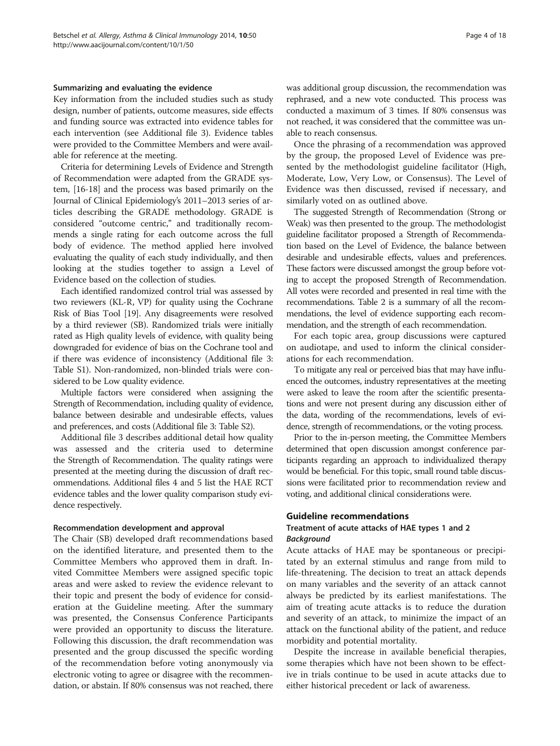#### Summarizing and evaluating the evidence

Key information from the included studies such as study design, number of patients, outcome measures, side effects and funding source was extracted into evidence tables for each intervention (see Additional file [3\)](#page-14-0). Evidence tables were provided to the Committee Members and were available for reference at the meeting.

Criteria for determining Levels of Evidence and Strength of Recommendation were adapted from the GRADE system, [\[16-18\]](#page-15-0) and the process was based primarily on the Journal of Clinical Epidemiology's 2011–2013 series of articles describing the GRADE methodology. GRADE is considered "outcome centric," and traditionally recommends a single rating for each outcome across the full body of evidence. The method applied here involved evaluating the quality of each study individually, and then looking at the studies together to assign a Level of Evidence based on the collection of studies.

Each identified randomized control trial was assessed by two reviewers (KL-R, VP) for quality using the Cochrane Risk of Bias Tool [\[19\]](#page-15-0). Any disagreements were resolved by a third reviewer (SB). Randomized trials were initially rated as High quality levels of evidence, with quality being downgraded for evidence of bias on the Cochrane tool and if there was evidence of inconsistency (Additional file [3](#page-14-0): Table S1). Non-randomized, non-blinded trials were considered to be Low quality evidence.

Multiple factors were considered when assigning the Strength of Recommendation, including quality of evidence, balance between desirable and undesirable effects, values and preferences, and costs (Additional file [3](#page-14-0): Table S2).

Additional file [3](#page-14-0) describes additional detail how quality was assessed and the criteria used to determine the Strength of Recommendation. The quality ratings were presented at the meeting during the discussion of draft recommendations. Additional files [4](#page-14-0) and [5](#page-14-0) list the HAE RCT evidence tables and the lower quality comparison study evidence respectively.

#### Recommendation development and approval

The Chair (SB) developed draft recommendations based on the identified literature, and presented them to the Committee Members who approved them in draft. Invited Committee Members were assigned specific topic areas and were asked to review the evidence relevant to their topic and present the body of evidence for consideration at the Guideline meeting. After the summary was presented, the Consensus Conference Participants were provided an opportunity to discuss the literature. Following this discussion, the draft recommendation was presented and the group discussed the specific wording of the recommendation before voting anonymously via electronic voting to agree or disagree with the recommendation, or abstain. If 80% consensus was not reached, there was additional group discussion, the recommendation was rephrased, and a new vote conducted. This process was conducted a maximum of 3 times. If 80% consensus was not reached, it was considered that the committee was unable to reach consensus.

Once the phrasing of a recommendation was approved by the group, the proposed Level of Evidence was presented by the methodologist guideline facilitator (High, Moderate, Low, Very Low, or Consensus). The Level of Evidence was then discussed, revised if necessary, and similarly voted on as outlined above.

The suggested Strength of Recommendation (Strong or Weak) was then presented to the group. The methodologist guideline facilitator proposed a Strength of Recommendation based on the Level of Evidence, the balance between desirable and undesirable effects, values and preferences. These factors were discussed amongst the group before voting to accept the proposed Strength of Recommendation. All votes were recorded and presented in real time with the recommendations. Table [2](#page-4-0) is a summary of all the recommendations, the level of evidence supporting each recommendation, and the strength of each recommendation.

For each topic area, group discussions were captured on audiotape, and used to inform the clinical considerations for each recommendation.

To mitigate any real or perceived bias that may have influenced the outcomes, industry representatives at the meeting were asked to leave the room after the scientific presentations and were not present during any discussion either of the data, wording of the recommendations, levels of evidence, strength of recommendations, or the voting process.

Prior to the in-person meeting, the Committee Members determined that open discussion amongst conference participants regarding an approach to individualized therapy would be beneficial. For this topic, small round table discussions were facilitated prior to recommendation review and voting, and additional clinical considerations were.

#### Guideline recommendations

# Treatment of acute attacks of HAE types 1 and 2 Background

Acute attacks of HAE may be spontaneous or precipitated by an external stimulus and range from mild to life-threatening. The decision to treat an attack depends on many variables and the severity of an attack cannot always be predicted by its earliest manifestations. The aim of treating acute attacks is to reduce the duration and severity of an attack, to minimize the impact of an attack on the functional ability of the patient, and reduce morbidity and potential mortality.

Despite the increase in available beneficial therapies, some therapies which have not been shown to be effective in trials continue to be used in acute attacks due to either historical precedent or lack of awareness.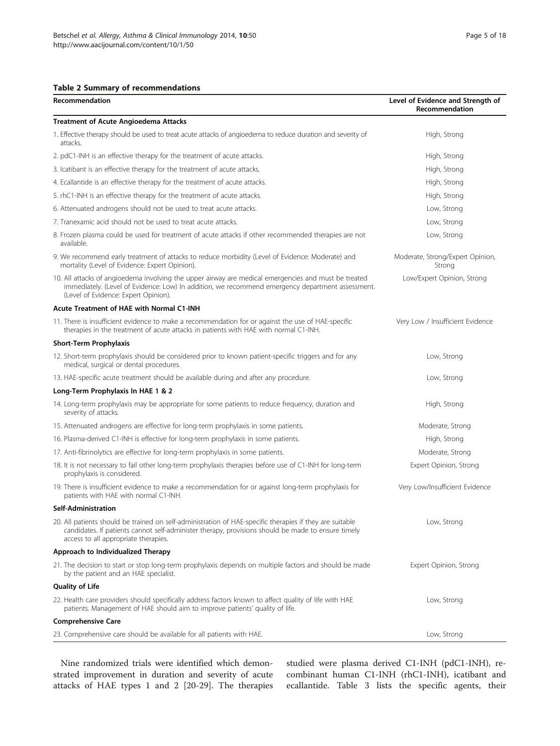#### <span id="page-4-0"></span>Table 2 Summary of recommendations

| Recommendation                                                                                                                                                                                                                                         | Level of Evidence and Strength of<br>Recommendation |
|--------------------------------------------------------------------------------------------------------------------------------------------------------------------------------------------------------------------------------------------------------|-----------------------------------------------------|
| <b>Treatment of Acute Angioedema Attacks</b>                                                                                                                                                                                                           |                                                     |
| 1. Effective therapy should be used to treat acute attacks of angioedema to reduce duration and severity of<br>attacks.                                                                                                                                | High, Strong                                        |
| 2. pdC1-INH is an effective therapy for the treatment of acute attacks.                                                                                                                                                                                | High, Strong                                        |
| 3. Icatibant is an effective therapy for the treatment of acute attacks.                                                                                                                                                                               | High, Strong                                        |
| 4. Ecallantide is an effective therapy for the treatment of acute attacks.                                                                                                                                                                             | High, Strong                                        |
| 5. rhC1-INH is an effective therapy for the treatment of acute attacks.                                                                                                                                                                                | High, Strong                                        |
| 6. Attenuated androgens should not be used to treat acute attacks.                                                                                                                                                                                     | Low, Strong                                         |
| 7. Tranexamic acid should not be used to treat acute attacks.                                                                                                                                                                                          | Low, Strong                                         |
| 8. Frozen plasma could be used for treatment of acute attacks if other recommended therapies are not<br>available.                                                                                                                                     | Low, Strong                                         |
| 9. We recommend early treatment of attacks to reduce morbidity (Level of Evidence: Moderate) and<br>mortality (Level of Evidence: Expert Opinion).                                                                                                     | Moderate, Strong/Expert Opinion,<br>Strong          |
| 10. All attacks of angioedema involving the upper airway are medical emergencies and must be treated<br>immediately. (Level of Evidence: Low) In addition, we recommend emergency department assessment.<br>(Level of Evidence: Expert Opinion).       | Low/Expert Opinion, Strong                          |
| Acute Treatment of HAE with Normal C1-INH                                                                                                                                                                                                              |                                                     |
| 11. There is insufficient evidence to make a recommendation for or against the use of HAE-specific<br>therapies in the treatment of acute attacks in patients with HAE with normal C1-INH.                                                             | Very Low / Insufficient Evidence                    |
| <b>Short-Term Prophylaxis</b>                                                                                                                                                                                                                          |                                                     |
| 12. Short-term prophylaxis should be considered prior to known patient-specific triggers and for any<br>medical, surgical or dental procedures.                                                                                                        | Low, Strong                                         |
| 13. HAE-specific acute treatment should be available during and after any procedure.                                                                                                                                                                   | Low, Strong                                         |
| Long-Term Prophylaxis In HAE 1 & 2                                                                                                                                                                                                                     |                                                     |
| 14. Long-term prophylaxis may be appropriate for some patients to reduce frequency, duration and<br>severity of attacks.                                                                                                                               | High, Strong                                        |
| 15. Attenuated androgens are effective for long-term prophylaxis in some patients.                                                                                                                                                                     | Moderate, Strong                                    |
| 16. Plasma-derived C1-INH is effective for long-term prophylaxis in some patients.                                                                                                                                                                     | High, Strong                                        |
| 17. Anti-fibrinolytics are effective for long-term prophylaxis in some patients.                                                                                                                                                                       | Moderate, Strong                                    |
| 18. It is not necessary to fail other long-term prophylaxis therapies before use of C1-INH for long-term<br>prophylaxis is considered.                                                                                                                 | Expert Opinion, Strong                              |
| 19. There is insufficient evidence to make a recommendation for or against long-term prophylaxis for<br>patients with HAE with normal C1-INH.                                                                                                          | Very Low/Insufficient Evidence                      |
| Self-Administration                                                                                                                                                                                                                                    |                                                     |
| 20. All patients should be trained on self-administration of HAE-specific therapies if they are suitable<br>candidates. If patients cannot self-administer therapy, provisions should be made to ensure timely<br>access to all appropriate therapies. | Low, Strong                                         |
| Approach to Individualized Therapy                                                                                                                                                                                                                     |                                                     |
| 21. The decision to start or stop long-term prophylaxis depends on multiple factors and should be made<br>by the patient and an HAE specialist.                                                                                                        | Expert Opinion, Strong                              |
| <b>Quality of Life</b>                                                                                                                                                                                                                                 |                                                     |
| 22. Health care providers should specifically address factors known to affect quality of life with HAE<br>patients. Management of HAE should aim to improve patients' quality of life.                                                                 | Low, Strong                                         |
| <b>Comprehensive Care</b>                                                                                                                                                                                                                              |                                                     |
| 23. Comprehensive care should be available for all patients with HAE.                                                                                                                                                                                  | Low, Strong                                         |

Nine randomized trials were identified which demonstrated improvement in duration and severity of acute attacks of HAE types 1 and 2 [[20](#page-15-0)-[29\]](#page-16-0). The therapies studied were plasma derived C1-INH (pdC1-INH), recombinant human C1-INH (rhC1-INH), icatibant and ecallantide. Table [3](#page-5-0) lists the specific agents, their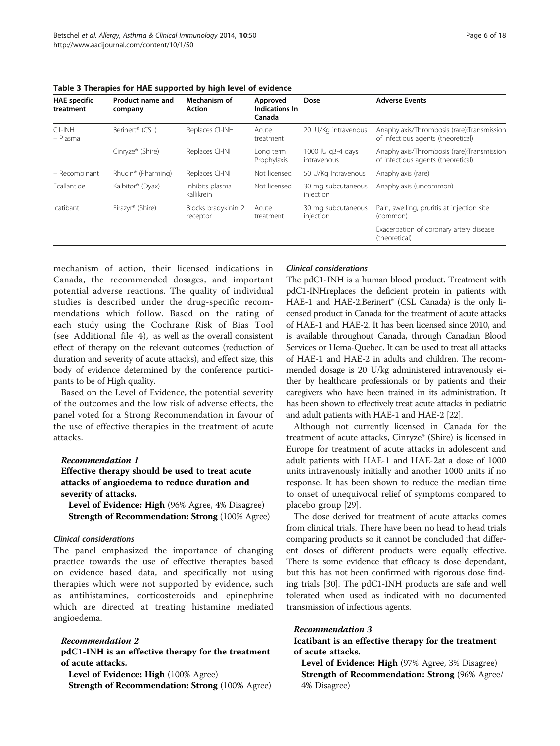| <b>HAE</b> specific<br>treatment | Product name and<br>company    | Mechanism of<br>Action          | Approved<br>Indications In<br>Canada | Dose                             | <b>Adverse Events</b>                                                            |
|----------------------------------|--------------------------------|---------------------------------|--------------------------------------|----------------------------------|----------------------------------------------------------------------------------|
| $C1$ -INH<br>- Plasma            | Berinert <sup>®</sup> (CSL)    | Replaces CI-INH                 | Acute<br>treatment                   | 20 IU/Kg intravenous             | Anaphylaxis/Thrombosis (rare);Transmission<br>of infectious agents (theoretical) |
|                                  | Cinryze® (Shire)               | Replaces CI-INH                 | Long term<br>Prophylaxis             | 1000 IU g3-4 days<br>intravenous | Anaphylaxis/Thrombosis (rare);Transmission<br>of infectious agents (theoretical) |
| - Recombinant                    | Rhucin <sup>®</sup> (Pharming) | Replaces CI-INH                 | Not licensed                         | 50 U/Kg Intravenous              | Anaphylaxis (rare)                                                               |
| Fcallantide                      | Kalbitor® (Dyax)               | Inhibits plasma<br>kallikrein   | Not licensed                         | 30 mg subcutaneous<br>injection  | Anaphylaxis (uncommon)                                                           |
| Icatibant                        | Firazyr <sup>®</sup> (Shire)   | Blocks bradykinin 2<br>receptor | Acute<br>treatment                   | 30 mg subcutaneous<br>injection  | Pain, swelling, pruritis at injection site<br>(common)                           |
|                                  |                                |                                 |                                      |                                  | Exacerbation of coronary artery disease<br>(theoretical)                         |

<span id="page-5-0"></span>Table 3 Therapies for HAE supported by high level of evidence

mechanism of action, their licensed indications in Canada, the recommended dosages, and important potential adverse reactions. The quality of individual studies is described under the drug-specific recommendations which follow. Based on the rating of each study using the Cochrane Risk of Bias Tool (see Additional file [4](#page-14-0)), as well as the overall consistent effect of therapy on the relevant outcomes (reduction of duration and severity of acute attacks), and effect size, this body of evidence determined by the conference participants to be of High quality.

Based on the Level of Evidence, the potential severity of the outcomes and the low risk of adverse effects, the panel voted for a Strong Recommendation in favour of the use of effective therapies in the treatment of acute attacks.

# Recommendation 1

Effective therapy should be used to treat acute attacks of angioedema to reduce duration and severity of attacks.

Level of Evidence: High (96% Agree, 4% Disagree) Strength of Recommendation: Strong (100% Agree)

# Clinical considerations

The panel emphasized the importance of changing practice towards the use of effective therapies based on evidence based data, and specifically not using therapies which were not supported by evidence, such as antihistamines, corticosteroids and epinephrine which are directed at treating histamine mediated angioedema.

#### Recommendation 2

pdC1-INH is an effective therapy for the treatment of acute attacks.

Level of Evidence: High (100% Agree) Strength of Recommendation: Strong (100% Agree)

#### Clinical considerations

The pdC1-INH is a human blood product. Treatment with pdC1-INHreplaces the deficient protein in patients with HAE-1 and HAE-2.Berinert® (CSL Canada) is the only licensed product in Canada for the treatment of acute attacks of HAE-1 and HAE-2. It has been licensed since 2010, and is available throughout Canada, through Canadian Blood Services or Hema-Quebec. It can be used to treat all attacks of HAE-1 and HAE-2 in adults and children. The recommended dosage is 20 U/kg administered intravenously either by healthcare professionals or by patients and their caregivers who have been trained in its administration. It has been shown to effectively treat acute attacks in pediatric and adult patients with HAE-1 and HAE-2 [\[22](#page-15-0)].

Although not currently licensed in Canada for the treatment of acute attacks, Cinryze® (Shire) is licensed in Europe for treatment of acute attacks in adolescent and adult patients with HAE-1 and HAE-2at a dose of 1000 units intravenously initially and another 1000 units if no response. It has been shown to reduce the median time to onset of unequivocal relief of symptoms compared to placebo group [\[29\]](#page-16-0).

The dose derived for treatment of acute attacks comes from clinical trials. There have been no head to head trials comparing products so it cannot be concluded that different doses of different products were equally effective. There is some evidence that efficacy is dose dependant, but this has not been confirmed with rigorous dose finding trials [[30](#page-16-0)]. The pdC1-INH products are safe and well tolerated when used as indicated with no documented transmission of infectious agents.

#### Recommendation 3

# Icatibant is an effective therapy for the treatment of acute attacks.

Level of Evidence: High (97% Agree, 3% Disagree) **Strength of Recommendation: Strong (96% Agree/ 4% Disagree)**  $\frac{1}{2}$   $\frac{1}{2}$   $\frac{1}{2}$   $\frac{1}{2}$   $\frac{1}{2}$   $\frac{1}{2}$   $\frac{1}{2}$   $\frac{1}{2}$   $\frac{1}{2}$   $\frac{1}{2}$   $\frac{1}{2}$   $\frac{1}{2}$   $\frac{1}{2}$   $\frac{1}{2}$   $\frac{1}{2}$   $\frac{1}{2}$   $\frac{1}{2}$   $\frac{1}{2}$   $\frac{1}{2}$   $\frac{1}{2}$   $\frac{1}{2}$   $\frac{1}{2}$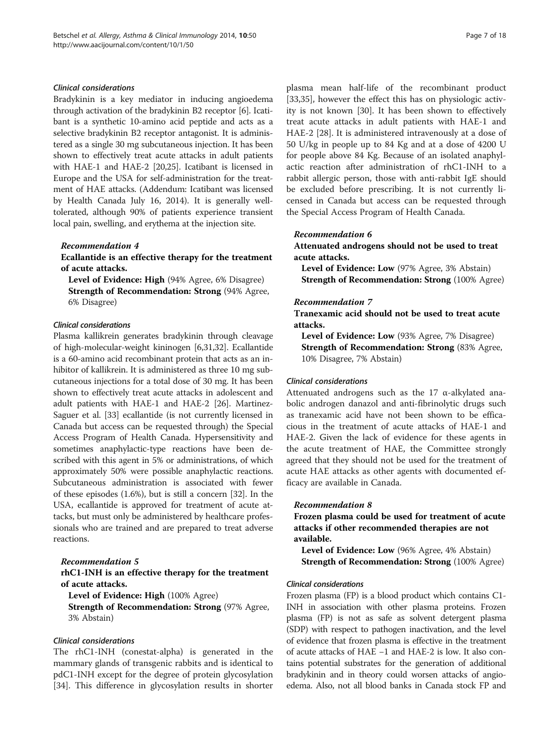#### Clinical considerations

Bradykinin is a key mediator in inducing angioedema through activation of the bradykinin B2 receptor [\[6\]](#page-15-0). Icatibant is a synthetic 10-amino acid peptide and acts as a selective bradykinin B2 receptor antagonist. It is administered as a single 30 mg subcutaneous injection. It has been shown to effectively treat acute attacks in adult patients with HAE-1 and HAE-2 [[20](#page-15-0),[25](#page-16-0)]. Icatibant is licensed in Europe and the USA for self-administration for the treatment of HAE attacks. (Addendum: Icatibant was licensed by Health Canada July 16, 2014). It is generally welltolerated, although 90% of patients experience transient local pain, swelling, and erythema at the injection site.

#### Recommendation 4

# Ecallantide is an effective therapy for the treatment of acute attacks.

Level of Evidence: High (94% Agree, 6% Disagree) Strength of Recommendation: Strong (94% Agree, 6% Disagree)

#### Clinical considerations

Plasma kallikrein generates bradykinin through cleavage of high-molecular-weight kininogen [[6](#page-15-0),[31,32\]](#page-16-0). Ecallantide is a 60-amino acid recombinant protein that acts as an inhibitor of kallikrein. It is administered as three 10 mg subcutaneous injections for a total dose of 30 mg. It has been shown to effectively treat acute attacks in adolescent and adult patients with HAE-1 and HAE-2 [[26](#page-16-0)]. Martinez-Saguer et al. [\[33\]](#page-16-0) ecallantide (is not currently licensed in Canada but access can be requested through) the Special Access Program of Health Canada. Hypersensitivity and sometimes anaphylactic-type reactions have been described with this agent in 5% or administrations, of which approximately 50% were possible anaphylactic reactions. Subcutaneous administration is associated with fewer of these episodes (1.6%), but is still a concern [\[32\]](#page-16-0). In the USA, ecallantide is approved for treatment of acute attacks, but must only be administered by healthcare professionals who are trained and are prepared to treat adverse reactions.

# Recommendation 5

#### rhC1-INH is an effective therapy for the treatment of acute attacks.

Level of Evidence: High (100% Agree) Strength of Recommendation: Strong (97% Agree, 3% Abstain)

#### Clinical considerations

The rhC1-INH (conestat-alpha) is generated in the mammary glands of transgenic rabbits and is identical to pdC1-INH except for the degree of protein glycosylation [[34\]](#page-16-0). This difference in glycosylation results in shorter

plasma mean half-life of the recombinant product [[33,35\]](#page-16-0), however the effect this has on physiologic activity is not known [[30\]](#page-16-0). It has been shown to effectively treat acute attacks in adult patients with HAE-1 and HAE-2 [[28\]](#page-16-0). It is administered intravenously at a dose of 50 U/kg in people up to 84 Kg and at a dose of 4200 U for people above 84 Kg. Because of an isolated anaphylactic reaction after administration of rhC1-INH to a rabbit allergic person, those with anti-rabbit IgE should be excluded before prescribing. It is not currently licensed in Canada but access can be requested through the Special Access Program of Health Canada.

#### Recommendation 6

# Attenuated androgens should not be used to treat acute attacks.

Level of Evidence: Low (97% Agree, 3% Abstain) Strength of Recommendation: Strong (100% Agree)

# Recommendation 7

# Tranexamic acid should not be used to treat acute attacks.

Level of Evidence: Low (93% Agree, 7% Disagree) Strength of Recommendation: Strong (83% Agree, 10% Disagree, 7% Abstain)

#### Clinical considerations

Attenuated androgens such as the  $17 \alpha$ -alkylated anabolic androgen danazol and anti-fibrinolytic drugs such as tranexamic acid have not been shown to be efficacious in the treatment of acute attacks of HAE-1 and HAE-2. Given the lack of evidence for these agents in the acute treatment of HAE, the Committee strongly agreed that they should not be used for the treatment of acute HAE attacks as other agents with documented efficacy are available in Canada.

#### Recommendation 8

Frozen plasma could be used for treatment of acute attacks if other recommended therapies are not available.

Level of Evidence: Low (96% Agree, 4% Abstain) Strength of Recommendation: Strong (100% Agree)

#### Clinical considerations

Frozen plasma (FP) is a blood product which contains C1- INH in association with other plasma proteins. Frozen plasma (FP) is not as safe as solvent detergent plasma (SDP) with respect to pathogen inactivation, and the level of evidence that frozen plasma is effective in the treatment of acute attacks of HAE −1 and HAE-2 is low. It also contains potential substrates for the generation of additional bradykinin and in theory could worsen attacks of angioedema. Also, not all blood banks in Canada stock FP and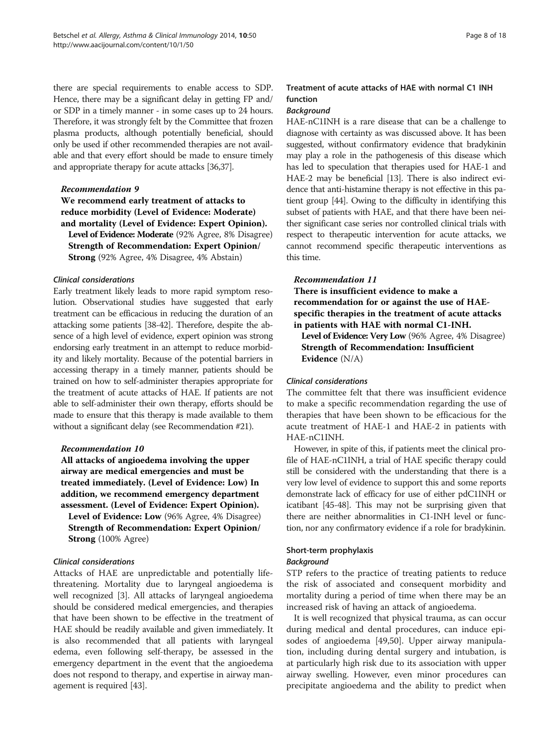there are special requirements to enable access to SDP. Hence, there may be a significant delay in getting FP and/ or SDP in a timely manner - in some cases up to 24 hours. Therefore, it was strongly felt by the Committee that frozen plasma products, although potentially beneficial, should only be used if other recommended therapies are not available and that every effort should be made to ensure timely and appropriate therapy for acute attacks [\[36,37\]](#page-16-0).

# Recommendation 9

We recommend early treatment of attacks to reduce morbidity (Level of Evidence: Moderate) and mortality (Level of Evidence: Expert Opinion). Level of Evidence: Moderate (92% Agree, 8% Disagree) Strength of Recommendation: Expert Opinion/ Strong (92% Agree, 4% Disagree, 4% Abstain)

#### Clinical considerations

Early treatment likely leads to more rapid symptom resolution. Observational studies have suggested that early treatment can be efficacious in reducing the duration of an attacking some patients [[38](#page-16-0)-[42\]](#page-16-0). Therefore, despite the absence of a high level of evidence, expert opinion was strong endorsing early treatment in an attempt to reduce morbidity and likely mortality. Because of the potential barriers in accessing therapy in a timely manner, patients should be trained on how to self-administer therapies appropriate for the treatment of acute attacks of HAE. If patients are not able to self-administer their own therapy, efforts should be made to ensure that this therapy is made available to them without a significant delay (see [Recommendation #21\).](#page-11-0)

# Recommendation 10

All attacks of angioedema involving the upper airway are medical emergencies and must be treated immediately. (Level of Evidence: Low) In addition, we recommend emergency department assessment. (Level of Evidence: Expert Opinion).

Level of Evidence: Low (96% Agree, 4% Disagree) Strength of Recommendation: Expert Opinion/ Strong (100% Agree)

# Clinical considerations

Attacks of HAE are unpredictable and potentially lifethreatening. Mortality due to laryngeal angioedema is well recognized [[3\]](#page-15-0). All attacks of laryngeal angioedema should be considered medical emergencies, and therapies that have been shown to be effective in the treatment of HAE should be readily available and given immediately. It is also recommended that all patients with laryngeal edema, even following self-therapy, be assessed in the emergency department in the event that the angioedema does not respond to therapy, and expertise in airway management is required [\[43](#page-16-0)].

# Treatment of acute attacks of HAE with normal C1 INH function

#### **Background**

HAE-nC1INH is a rare disease that can be a challenge to diagnose with certainty as was discussed above. It has been suggested, without confirmatory evidence that bradykinin may play a role in the pathogenesis of this disease which has led to speculation that therapies used for HAE-1 and HAE-2 may be beneficial [\[13\]](#page-15-0). There is also indirect evidence that anti-histamine therapy is not effective in this patient group [[44](#page-16-0)]. Owing to the difficulty in identifying this subset of patients with HAE, and that there have been neither significant case series nor controlled clinical trials with respect to therapeutic intervention for acute attacks, we cannot recommend specific therapeutic interventions as this time.

# Recommendation 11

There is insufficient evidence to make a recommendation for or against the use of HAEspecific therapies in the treatment of acute attacks in patients with HAE with normal C1-INH.

Level of Evidence: Very Low (96% Agree, 4% Disagree) Strength of Recommendation: Insufficient Evidence (N/A)

#### Clinical considerations

The committee felt that there was insufficient evidence to make a specific recommendation regarding the use of therapies that have been shown to be efficacious for the acute treatment of HAE-1 and HAE-2 in patients with HAE-nC1INH.

However, in spite of this, if patients meet the clinical profile of HAE-nC1INH, a trial of HAE specific therapy could still be considered with the understanding that there is a very low level of evidence to support this and some reports demonstrate lack of efficacy for use of either pdC1INH or icatibant [\[45-48\]](#page-16-0). This may not be surprising given that there are neither abnormalities in C1-INH level or function, nor any confirmatory evidence if a role for bradykinin.

# Short-term prophylaxis

#### Background

STP refers to the practice of treating patients to reduce the risk of associated and consequent morbidity and mortality during a period of time when there may be an increased risk of having an attack of angioedema.

It is well recognized that physical trauma, as can occur during medical and dental procedures, can induce episodes of angioedema [\[49,50](#page-16-0)]. Upper airway manipulation, including during dental surgery and intubation, is at particularly high risk due to its association with upper airway swelling. However, even minor procedures can precipitate angioedema and the ability to predict when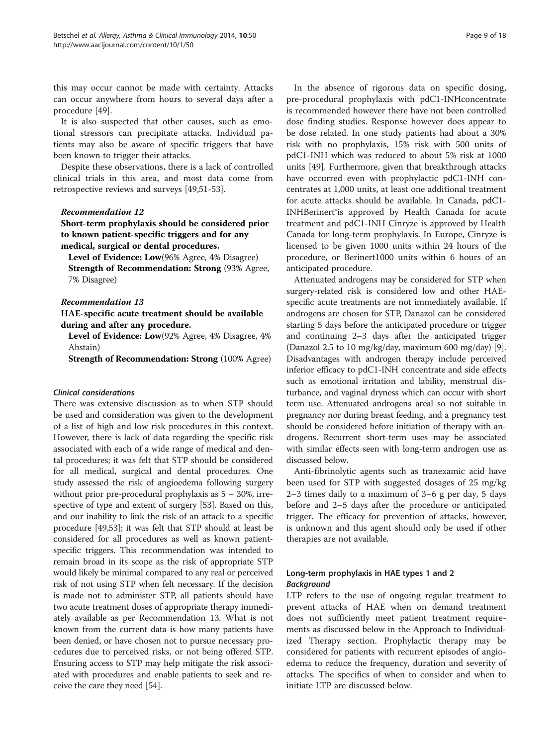this may occur cannot be made with certainty. Attacks can occur anywhere from hours to several days after a procedure [\[49](#page-16-0)].

It is also suspected that other causes, such as emotional stressors can precipitate attacks. Individual patients may also be aware of specific triggers that have been known to trigger their attacks.

Despite these observations, there is a lack of controlled clinical trials in this area, and most data come from retrospective reviews and surveys [[49](#page-16-0),[51](#page-16-0)-[53\]](#page-16-0).

#### Recommendation 12

Short-term prophylaxis should be considered prior to known patient-specific triggers and for any medical, surgical or dental procedures.

Level of Evidence: Low(96% Agree, 4% Disagree) Strength of Recommendation: Strong (93% Agree, 7% Disagree)

#### Recommendation 13

HAE-specific acute treatment should be available during and after any procedure.

Level of Evidence: Low(92% Agree, 4% Disagree, 4% Abstain)

Strength of Recommendation: Strong (100% Agree)

#### Clinical considerations

There was extensive discussion as to when STP should be used and consideration was given to the development of a list of high and low risk procedures in this context. However, there is lack of data regarding the specific risk associated with each of a wide range of medical and dental procedures; it was felt that STP should be considered for all medical, surgical and dental procedures. One study assessed the risk of angioedema following surgery without prior pre-procedural prophylaxis as 5 – 30%, irrespective of type and extent of surgery [[53](#page-16-0)]. Based on this, and our inability to link the risk of an attack to a specific procedure [\[49,53](#page-16-0)]; it was felt that STP should at least be considered for all procedures as well as known patientspecific triggers. This recommendation was intended to remain broad in its scope as the risk of appropriate STP would likely be minimal compared to any real or perceived risk of not using STP when felt necessary. If the decision is made not to administer STP, all patients should have two acute treatment doses of appropriate therapy immediately available as per Recommendation 13. What is not known from the current data is how many patients have been denied, or have chosen not to pursue necessary procedures due to perceived risks, or not being offered STP. Ensuring access to STP may help mitigate the risk associated with procedures and enable patients to seek and receive the care they need [[54](#page-16-0)].

In the absence of rigorous data on specific dosing, pre-procedural prophylaxis with pdC1-INHconcentrate is recommended however there have not been controlled dose finding studies. Response however does appear to be dose related. In one study patients had about a 30% risk with no prophylaxis, 15% risk with 500 units of pdC1-INH which was reduced to about 5% risk at 1000 units [[49](#page-16-0)]. Furthermore, given that breakthrough attacks have occurred even with prophylactic pdC1-INH concentrates at 1,000 units, at least one additional treatment for acute attacks should be available. In Canada, pdC1- INHBerinert®is approved by Health Canada for acute treatment and pdC1-INH Cinryze is approved by Health Canada for long-term prophylaxis. In Europe, Cinryze is licensed to be given 1000 units within 24 hours of the procedure, or Berinert1000 units within 6 hours of an anticipated procedure.

Attenuated androgens may be considered for STP when surgery-related risk is considered low and other HAEspecific acute treatments are not immediately available. If androgens are chosen for STP, Danazol can be considered starting 5 days before the anticipated procedure or trigger and continuing 2–3 days after the anticipated trigger (Danazol 2.5 to 10 mg/kg/day, maximum 600 mg/day) [[9](#page-15-0)]. Disadvantages with androgen therapy include perceived inferior efficacy to pdC1-INH concentrate and side effects such as emotional irritation and lability, menstrual disturbance, and vaginal dryness which can occur with short term use. Attenuated androgens areal so not suitable in pregnancy nor during breast feeding, and a pregnancy test should be considered before initiation of therapy with androgens. Recurrent short-term uses may be associated with similar effects seen with long-term androgen use as discussed below.

Anti-fibrinolytic agents such as tranexamic acid have been used for STP with suggested dosages of 25 mg/kg 2–3 times daily to a maximum of 3–6 g per day, 5 days before and 2–5 days after the procedure or anticipated trigger. The efficacy for prevention of attacks, however, is unknown and this agent should only be used if other therapies are not available.

# Long-term prophylaxis in HAE types 1 and 2 Background

LTP refers to the use of ongoing regular treatment to prevent attacks of HAE when on demand treatment does not sufficiently meet patient treatment requirements as discussed below in the Approach to Individualized Therapy section. Prophylactic therapy may be considered for patients with recurrent episodes of angioedema to reduce the frequency, duration and severity of attacks. The specifics of when to consider and when to initiate LTP are discussed below.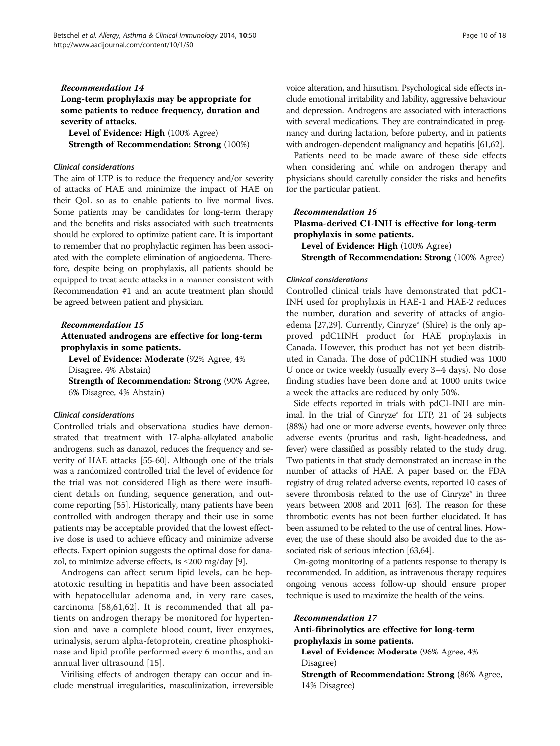#### Recommendation 14

Long-term prophylaxis may be appropriate for some patients to reduce frequency, duration and severity of attacks.

Level of Evidence: High (100% Agree) Strength of Recommendation: Strong (100%)

#### Clinical considerations

The aim of LTP is to reduce the frequency and/or severity of attacks of HAE and minimize the impact of HAE on their QoL so as to enable patients to live normal lives. Some patients may be candidates for long-term therapy and the benefits and risks associated with such treatments should be explored to optimize patient care. It is important to remember that no prophylactic regimen has been associated with the complete elimination of angioedema. Therefore, despite being on prophylaxis, all patients should be equipped to treat acute attacks in a manner consistent with Recommendation #1 and an acute treatment plan should be agreed between patient and physician.

#### Recommendation 15

Attenuated androgens are effective for long-term prophylaxis in some patients.

Level of Evidence: Moderate (92% Agree, 4% Disagree, 4% Abstain)

**Strength of Recommendation: Strong** (90% Agree, 6% Disagree, 4% Abstain)

#### Clinical considerations

Controlled trials and observational studies have demonstrated that treatment with 17-alpha-alkylated anabolic androgens, such as danazol, reduces the frequency and severity of HAE attacks [\[55-60\]](#page-16-0). Although one of the trials was a randomized controlled trial the level of evidence for the trial was not considered High as there were insufficient details on funding, sequence generation, and outcome reporting [\[55\]](#page-16-0). Historically, many patients have been controlled with androgen therapy and their use in some patients may be acceptable provided that the lowest effective dose is used to achieve efficacy and minimize adverse effects. Expert opinion suggests the optimal dose for danazol, to minimize adverse effects, is  $\leq 200$  mg/day [\[9](#page-15-0)].

Androgens can affect serum lipid levels, can be hepatotoxic resulting in hepatitis and have been associated with hepatocellular adenoma and, in very rare cases, carcinoma [\[58](#page-16-0),[61,62\]](#page-16-0). It is recommended that all patients on androgen therapy be monitored for hypertension and have a complete blood count, liver enzymes, urinalysis, serum alpha-fetoprotein, creatine phosphokinase and lipid profile performed every 6 months, and an annual liver ultrasound [\[15](#page-15-0)].

Virilising effects of androgen therapy can occur and include menstrual irregularities, masculinization, irreversible voice alteration, and hirsutism. Psychological side effects include emotional irritability and lability, aggressive behaviour and depression. Androgens are associated with interactions with several medications. They are contraindicated in pregnancy and during lactation, before puberty, and in patients with androgen-dependent malignancy and hepatitis [[61,62\]](#page-16-0).

Patients need to be made aware of these side effects when considering and while on androgen therapy and physicians should carefully consider the risks and benefits for the particular patient.

#### Recommendation 16

# Plasma-derived C1-INH is effective for long-term prophylaxis in some patients. Level of Evidence: High (100% Agree)

Strength of Recommendation: Strong (100% Agree)

# Clinical considerations

Controlled clinical trials have demonstrated that pdC1- INH used for prophylaxis in HAE-1 and HAE-2 reduces the number, duration and severity of attacks of angio-edema [\[27,29](#page-16-0)]. Currently, Cinryze® (Shire) is the only approved pdC1INH product for HAE prophylaxis in Canada. However, this product has not yet been distributed in Canada. The dose of pdC1INH studied was 1000 U once or twice weekly (usually every 3–4 days). No dose finding studies have been done and at 1000 units twice a week the attacks are reduced by only 50%.

Side effects reported in trials with pdC1-INH are minimal. In the trial of Cinryze® for LTP, 21 of 24 subjects (88%) had one or more adverse events, however only three adverse events (pruritus and rash, light-headedness, and fever) were classified as possibly related to the study drug. Two patients in that study demonstrated an increase in the number of attacks of HAE. A paper based on the FDA registry of drug related adverse events, reported 10 cases of severe thrombosis related to the use of Cinryze<sup>®</sup> in three years between 2008 and 2011 [\[63](#page-16-0)]. The reason for these thrombotic events has not been further elucidated. It has been assumed to be related to the use of central lines. However, the use of these should also be avoided due to the associated risk of serious infection [[63](#page-16-0)[,64\]](#page-17-0).

On-going monitoring of a patients response to therapy is recommended. In addition, as intravenous therapy requires ongoing venous access follow-up should ensure proper technique is used to maximize the health of the veins.

#### Recommendation 17

Anti-fibrinolytics are effective for long-term prophylaxis in some patients.

**Level of Evidence: Moderate** (96% Agree, 4% Disagree)

Strength of Recommendation: Strong (86% Agree,  $\sigma$   $\rightarrow$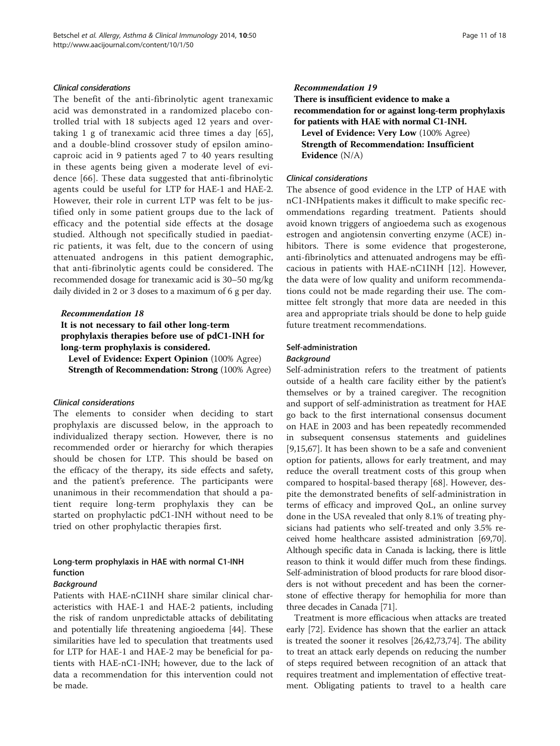#### Clinical considerations

The benefit of the anti-fibrinolytic agent tranexamic acid was demonstrated in a randomized placebo controlled trial with 18 subjects aged 12 years and overtaking 1 g of tranexamic acid three times a day [[65](#page-17-0)], and a double-blind crossover study of epsilon aminocaproic acid in 9 patients aged 7 to 40 years resulting in these agents being given a moderate level of evidence [\[66\]](#page-17-0). These data suggested that anti-fibrinolytic agents could be useful for LTP for HAE-1 and HAE-2. However, their role in current LTP was felt to be justified only in some patient groups due to the lack of efficacy and the potential side effects at the dosage studied. Although not specifically studied in paediatric patients, it was felt, due to the concern of using attenuated androgens in this patient demographic, that anti-fibrinolytic agents could be considered. The recommended dosage for tranexamic acid is 30–50 mg/kg daily divided in 2 or 3 doses to a maximum of 6 g per day.

#### Recommendation 18

# It is not necessary to fail other long-term prophylaxis therapies before use of pdC1-INH for long-term prophylaxis is considered.

Level of Evidence: Expert Opinion (100% Agree) Strength of Recommendation: Strong (100% Agree)

#### Clinical considerations

The elements to consider when deciding to start prophylaxis are discussed below, in the approach to individualized therapy section. However, there is no recommended order or hierarchy for which therapies should be chosen for LTP. This should be based on the efficacy of the therapy, its side effects and safety, and the patient's preference. The participants were unanimous in their recommendation that should a patient require long-term prophylaxis they can be started on prophylactic pdC1-INH without need to be tried on other prophylactic therapies first.

# Long-term prophylaxis in HAE with normal C1-INH function

# Background

Patients with HAE-nC1INH share similar clinical characteristics with HAE-1 and HAE-2 patients, including the risk of random unpredictable attacks of debilitating and potentially life threatening angioedema [[44\]](#page-16-0). These similarities have led to speculation that treatments used for LTP for HAE-1 and HAE-2 may be beneficial for patients with HAE-nC1-INH; however, due to the lack of data a recommendation for this intervention could not be made.

#### Recommendation 19

There is insufficient evidence to make a recommendation for or against long-term prophylaxis for patients with HAE with normal C1-INH. Level of Evidence: Very Low (100% Agree)

Strength of Recommendation: Insufficient Evidence (N/A)

#### Clinical considerations

The absence of good evidence in the LTP of HAE with nC1-INHpatients makes it difficult to make specific recommendations regarding treatment. Patients should avoid known triggers of angioedema such as exogenous estrogen and angiotensin converting enzyme (ACE) inhibitors. There is some evidence that progesterone, anti-fibrinolytics and attenuated androgens may be efficacious in patients with HAE-nC1INH [[12\]](#page-15-0). However, the data were of low quality and uniform recommendations could not be made regarding their use. The committee felt strongly that more data are needed in this area and appropriate trials should be done to help guide future treatment recommendations.

#### Self-administration

#### Background

Self-administration refers to the treatment of patients outside of a health care facility either by the patient's themselves or by a trained caregiver. The recognition and support of self-administration as treatment for HAE go back to the first international consensus document on HAE in 2003 and has been repeatedly recommended in subsequent consensus statements and guidelines [[9,15](#page-15-0)[,67](#page-17-0)]. It has been shown to be a safe and convenient option for patients, allows for early treatment, and may reduce the overall treatment costs of this group when compared to hospital-based therapy [[68\]](#page-17-0). However, despite the demonstrated benefits of self-administration in terms of efficacy and improved QoL, an online survey done in the USA revealed that only 8.1% of treating physicians had patients who self-treated and only 3.5% received home healthcare assisted administration [\[69,70](#page-17-0)]. Although specific data in Canada is lacking, there is little reason to think it would differ much from these findings. Self-administration of blood products for rare blood disorders is not without precedent and has been the cornerstone of effective therapy for hemophilia for more than three decades in Canada [[71](#page-17-0)].

Treatment is more efficacious when attacks are treated early [[72\]](#page-17-0). Evidence has shown that the earlier an attack is treated the sooner it resolves [\[26,42](#page-16-0)[,73,74\]](#page-17-0). The ability to treat an attack early depends on reducing the number of steps required between recognition of an attack that requires treatment and implementation of effective treatment. Obligating patients to travel to a health care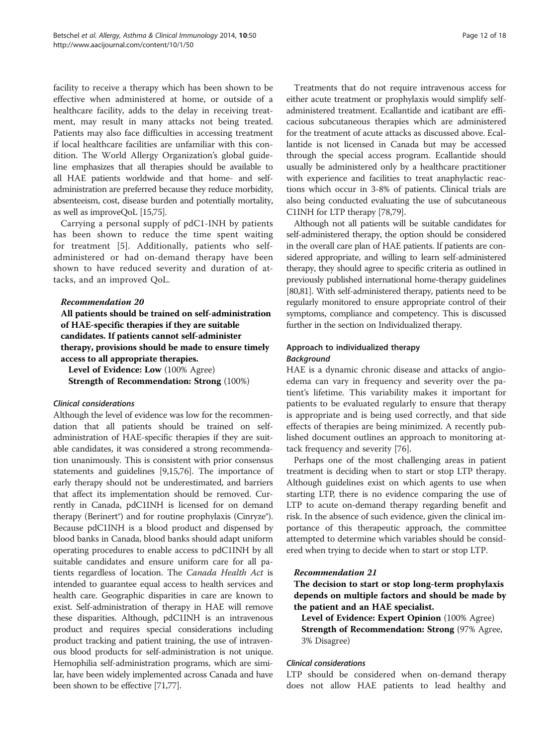<span id="page-11-0"></span>facility to receive a therapy which has been shown to be effective when administered at home, or outside of a healthcare facility, adds to the delay in receiving treatment, may result in many attacks not being treated. Patients may also face difficulties in accessing treatment if local healthcare facilities are unfamiliar with this condition. The World Allergy Organization's global guideline emphasizes that all therapies should be available to all HAE patients worldwide and that home- and selfadministration are preferred because they reduce morbidity, absenteeism, cost, disease burden and potentially mortality, as well as improveQoL [[15](#page-15-0)[,75\]](#page-17-0).

Carrying a personal supply of pdC1-INH by patients has been shown to reduce the time spent waiting for treatment [[5\]](#page-15-0). Additionally, patients who selfadministered or had on-demand therapy have been shown to have reduced severity and duration of attacks, and an improved QoL.

# Recommendation 20

All patients should be trained on self-administration of HAE-specific therapies if they are suitable candidates. If patients cannot self-administer therapy, provisions should be made to ensure timely access to all appropriate therapies.

Level of Evidence: Low (100% Agree) Strength of Recommendation: Strong (100%)

# Clinical considerations

Although the level of evidence was low for the recommendation that all patients should be trained on selfadministration of HAE-specific therapies if they are suitable candidates, it was considered a strong recommendation unanimously. This is consistent with prior consensus statements and guidelines [[9,15](#page-15-0)[,76\]](#page-17-0). The importance of early therapy should not be underestimated, and barriers that affect its implementation should be removed. Currently in Canada, pdC1INH is licensed for on demand therapy (Berinert®) and for routine prophylaxis (Cinryze®). Because pdC1INH is a blood product and dispensed by blood banks in Canada, blood banks should adapt uniform operating procedures to enable access to pdC1INH by all suitable candidates and ensure uniform care for all patients regardless of location. The Canada Health Act is intended to guarantee equal access to health services and health care. Geographic disparities in care are known to exist. Self-administration of therapy in HAE will remove these disparities. Although, pdC1INH is an intravenous product and requires special considerations including product tracking and patient training, the use of intravenous blood products for self-administration is not unique. Hemophilia self-administration programs, which are similar, have been widely implemented across Canada and have been shown to be effective [\[71,77\]](#page-17-0).

Treatments that do not require intravenous access for either acute treatment or prophylaxis would simplify selfadministered treatment. Ecallantide and icatibant are efficacious subcutaneous therapies which are administered for the treatment of acute attacks as discussed above. Ecallantide is not licensed in Canada but may be accessed through the special access program. Ecallantide should usually be administered only by a healthcare practitioner with experience and facilities to treat anaphylactic reactions which occur in 3-8% of patients. Clinical trials are also being conducted evaluating the use of subcutaneous C1INH for LTP therapy [\[78,79\]](#page-17-0).

Although not all patients will be suitable candidates for self-administered therapy, the option should be considered in the overall care plan of HAE patients. If patients are considered appropriate, and willing to learn self-administered therapy, they should agree to specific criteria as outlined in previously published international home-therapy guidelines [[80,81\]](#page-17-0). With self-administered therapy, patients need to be regularly monitored to ensure appropriate control of their symptoms, compliance and competency. This is discussed further in the section on Individualized therapy.

# Approach to individualized therapy Background

HAE is a dynamic chronic disease and attacks of angioedema can vary in frequency and severity over the patient's lifetime. This variability makes it important for patients to be evaluated regularly to ensure that therapy is appropriate and is being used correctly, and that side effects of therapies are being minimized. A recently published document outlines an approach to monitoring attack frequency and severity [[76](#page-17-0)].

Perhaps one of the most challenging areas in patient treatment is deciding when to start or stop LTP therapy. Although guidelines exist on which agents to use when starting LTP, there is no evidence comparing the use of LTP to acute on-demand therapy regarding benefit and risk. In the absence of such evidence, given the clinical importance of this therapeutic approach, the committee attempted to determine which variables should be considered when trying to decide when to start or stop LTP.

# Recommendation 21

The decision to start or stop long-term prophylaxis depends on multiple factors and should be made by the patient and an HAE specialist.

Level of Evidence: Expert Opinion (100% Agree) Strength of Recommendation: Strong (97% Agree, 3% Disagree)

#### Clinical considerations

LTP should be considered when on-demand therapy does not allow HAE patients to lead healthy and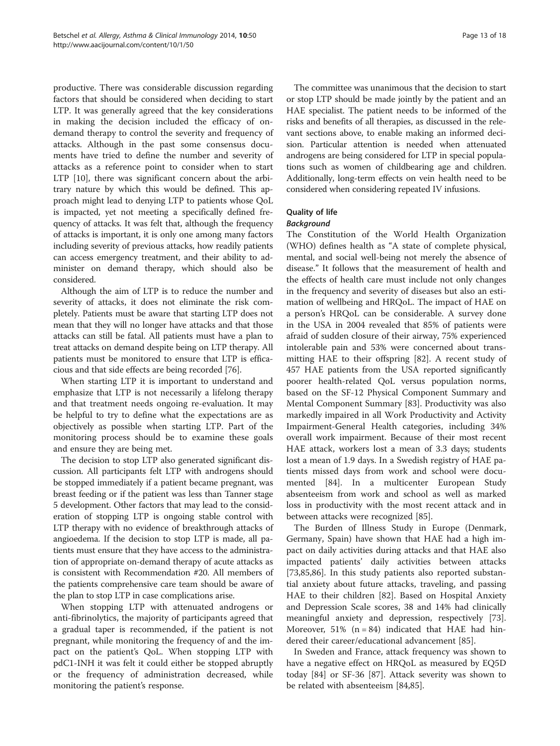productive. There was considerable discussion regarding factors that should be considered when deciding to start LTP. It was generally agreed that the key considerations in making the decision included the efficacy of ondemand therapy to control the severity and frequency of attacks. Although in the past some consensus documents have tried to define the number and severity of attacks as a reference point to consider when to start LTP [[10\]](#page-15-0), there was significant concern about the arbitrary nature by which this would be defined. This approach might lead to denying LTP to patients whose QoL is impacted, yet not meeting a specifically defined frequency of attacks. It was felt that, although the frequency of attacks is important, it is only one among many factors including severity of previous attacks, how readily patients can access emergency treatment, and their ability to administer on demand therapy, which should also be considered.

Although the aim of LTP is to reduce the number and severity of attacks, it does not eliminate the risk completely. Patients must be aware that starting LTP does not mean that they will no longer have attacks and that those attacks can still be fatal. All patients must have a plan to treat attacks on demand despite being on LTP therapy. All patients must be monitored to ensure that LTP is efficacious and that side effects are being recorded [\[76\]](#page-17-0).

When starting LTP it is important to understand and emphasize that LTP is not necessarily a lifelong therapy and that treatment needs ongoing re-evaluation. It may be helpful to try to define what the expectations are as objectively as possible when starting LTP. Part of the monitoring process should be to examine these goals and ensure they are being met.

The decision to stop LTP also generated significant discussion. All participants felt LTP with androgens should be stopped immediately if a patient became pregnant, was breast feeding or if the patient was less than Tanner stage 5 development. Other factors that may lead to the consideration of stopping LTP is ongoing stable control with LTP therapy with no evidence of breakthrough attacks of angioedema. If the decision to stop LTP is made, all patients must ensure that they have access to the administration of appropriate on-demand therapy of acute attacks as is consistent with Recommendation #20. All members of the patients comprehensive care team should be aware of the plan to stop LTP in case complications arise.

When stopping LTP with attenuated androgens or anti-fibrinolytics, the majority of participants agreed that a gradual taper is recommended, if the patient is not pregnant, while monitoring the frequency of and the impact on the patient's QoL. When stopping LTP with pdC1-INH it was felt it could either be stopped abruptly or the frequency of administration decreased, while monitoring the patient's response.

The committee was unanimous that the decision to start or stop LTP should be made jointly by the patient and an HAE specialist. The patient needs to be informed of the risks and benefits of all therapies, as discussed in the relevant sections above, to enable making an informed decision. Particular attention is needed when attenuated androgens are being considered for LTP in special populations such as women of childbearing age and children. Additionally, long-term effects on vein health need to be considered when considering repeated IV infusions.

# Quality of life

# Background

The Constitution of the World Health Organization (WHO) defines health as "A state of complete physical, mental, and social well-being not merely the absence of disease." It follows that the measurement of health and the effects of health care must include not only changes in the frequency and severity of diseases but also an estimation of wellbeing and HRQoL. The impact of HAE on a person's HRQoL can be considerable. A survey done in the USA in 2004 revealed that 85% of patients were afraid of sudden closure of their airway, 75% experienced intolerable pain and 53% were concerned about transmitting HAE to their offspring [\[82](#page-17-0)]. A recent study of 457 HAE patients from the USA reported significantly poorer health-related QoL versus population norms, based on the SF-12 Physical Component Summary and Mental Component Summary [[83\]](#page-17-0). Productivity was also markedly impaired in all Work Productivity and Activity Impairment-General Health categories, including 34% overall work impairment. Because of their most recent HAE attack, workers lost a mean of 3.3 days; students lost a mean of 1.9 days. In a Swedish registry of HAE patients missed days from work and school were documented [\[84\]](#page-17-0). In a multicenter European Study absenteeism from work and school as well as marked loss in productivity with the most recent attack and in between attacks were recognized [\[85](#page-17-0)].

The Burden of Illness Study in Europe (Denmark, Germany, Spain) have shown that HAE had a high impact on daily activities during attacks and that HAE also impacted patients' daily activities between attacks [[73,85,86\]](#page-17-0). In this study patients also reported substantial anxiety about future attacks, traveling, and passing HAE to their children [\[82\]](#page-17-0). Based on Hospital Anxiety and Depression Scale scores, 38 and 14% had clinically meaningful anxiety and depression, respectively [\[73](#page-17-0)]. Moreover, 51%  $(n = 84)$  indicated that HAE had hindered their career/educational advancement [[85\]](#page-17-0).

In Sweden and France, attack frequency was shown to have a negative effect on HRQoL as measured by EQ5D today [\[84](#page-17-0)] or SF-36 [\[87\]](#page-17-0). Attack severity was shown to be related with absenteeism [\[84,85](#page-17-0)].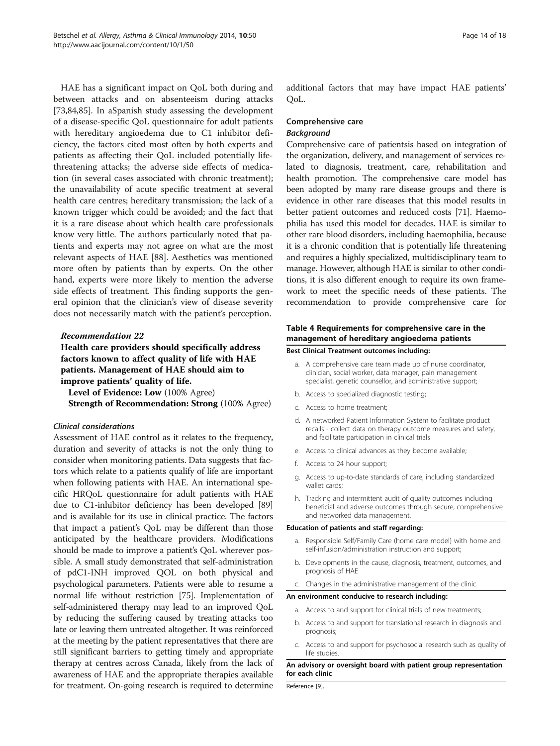<span id="page-13-0"></span>HAE has a significant impact on QoL both during and between attacks and on absenteeism during attacks [[73,84,85\]](#page-17-0). In aSpanish study assessing the development of a disease-specific QoL questionnaire for adult patients with hereditary angioedema due to C1 inhibitor deficiency, the factors cited most often by both experts and patients as affecting their QoL included potentially lifethreatening attacks; the adverse side effects of medication (in several cases associated with chronic treatment); the unavailability of acute specific treatment at several health care centres; hereditary transmission; the lack of a known trigger which could be avoided; and the fact that it is a rare disease about which health care professionals know very little. The authors particularly noted that patients and experts may not agree on what are the most relevant aspects of HAE [\[88\]](#page-17-0). Aesthetics was mentioned more often by patients than by experts. On the other hand, experts were more likely to mention the adverse side effects of treatment. This finding supports the general opinion that the clinician's view of disease severity does not necessarily match with the patient's perception.

#### Recommendation 22

Health care providers should specifically address factors known to affect quality of life with HAE patients. Management of HAE should aim to improve patients' quality of life.

Level of Evidence: Low (100% Agree) Strength of Recommendation: Strong (100% Agree)

#### Clinical considerations

Assessment of HAE control as it relates to the frequency, duration and severity of attacks is not the only thing to consider when monitoring patients. Data suggests that factors which relate to a patients qualify of life are important when following patients with HAE. An international specific HRQoL questionnaire for adult patients with HAE due to C1-inhibitor deficiency has been developed [[89](#page-17-0)] and is available for its use in clinical practice. The factors that impact a patient's QoL may be different than those anticipated by the healthcare providers. Modifications should be made to improve a patient's QoL wherever possible. A small study demonstrated that self-administration of pdC1-INH improved QOL on both physical and psychological parameters. Patients were able to resume a normal life without restriction [\[75\]](#page-17-0). Implementation of self-administered therapy may lead to an improved QoL by reducing the suffering caused by treating attacks too late or leaving them untreated altogether. It was reinforced at the meeting by the patient representatives that there are still significant barriers to getting timely and appropriate therapy at centres across Canada, likely from the lack of awareness of HAE and the appropriate therapies available for treatment. On-going research is required to determine additional factors that may have impact HAE patients' QoL.

# Comprehensive care **Background**

Comprehensive care of patientsis based on integration of the organization, delivery, and management of services related to diagnosis, treatment, care, rehabilitation and health promotion. The comprehensive care model has been adopted by many rare disease groups and there is evidence in other rare diseases that this model results in better patient outcomes and reduced costs [\[71\]](#page-17-0). Haemophilia has used this model for decades. HAE is similar to other rare blood disorders, including haemophilia, because it is a chronic condition that is potentially life threatening and requires a highly specialized, multidisciplinary team to manage. However, although HAE is similar to other conditions, it is also different enough to require its own framework to meet the specific needs of these patients. The recommendation to provide comprehensive care for

# Table 4 Requirements for comprehensive care in the management of hereditary angioedema patients

Best Clinical Treatment outcomes including:

- a. A comprehensive care team made up of nurse coordinator, clinician, social worker, data manager, pain management specialist, genetic counsellor, and administrative support;
- b. Access to specialized diagnostic testing;
- c. Access to home treatment;
- d. A networked Patient Information System to facilitate product recalls - collect data on therapy outcome measures and safety, and facilitate participation in clinical trials
- e. Access to clinical advances as they become available;
- f. Access to 24 hour support;
- g. Access to up-to-date standards of care, including standardized wallet cards;
- h. Tracking and intermittent audit of quality outcomes including beneficial and adverse outcomes through secure, comprehensive and networked data management.

#### Education of patients and staff regarding:

- a. Responsible Self/Family Care (home care model) with home and self-infusion/administration instruction and support;
- b. Developments in the cause, diagnosis, treatment, outcomes, and prognosis of HAE
- c. Changes in the administrative management of the clinic

#### An environment conducive to research including:

- a. Access to and support for clinical trials of new treatments;
- b. Access to and support for translational research in diagnosis and prognosis;
- c. Access to and support for psychosocial research such as quality of life studies

An advisory or oversight board with patient group representation for each clinic

Reference [[9](#page-15-0)].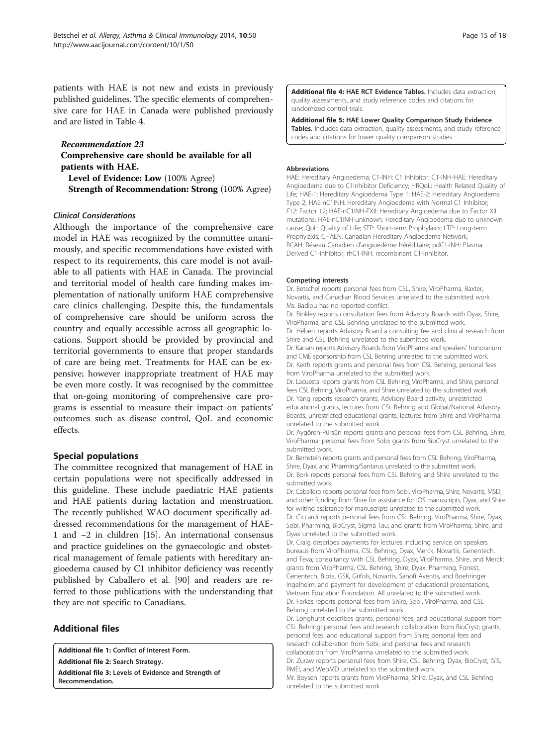<span id="page-14-0"></span>patients with HAE is not new and exists in previously published guidelines. The specific elements of comprehensive care for HAE in Canada were published previously and are listed in Table [4](#page-13-0).

# Recommendation 23 Comprehensive care should be available for all patients with HAE. Level of Evidence: Low (100% Agree)

Strength of Recommendation: Strong (100% Agree)

# Clinical Considerations

Although the importance of the comprehensive care model in HAE was recognized by the committee unanimously, and specific recommendations have existed with respect to its requirements, this care model is not available to all patients with HAE in Canada. The provincial and territorial model of health care funding makes implementation of nationally uniform HAE comprehensive care clinics challenging. Despite this, the fundamentals of comprehensive care should be uniform across the country and equally accessible across all geographic locations. Support should be provided by provincial and territorial governments to ensure that proper standards of care are being met. Treatments for HAE can be expensive; however inappropriate treatment of HAE may be even more costly. It was recognised by the committee that on-going monitoring of comprehensive care programs is essential to measure their impact on patients' outcomes such as disease control, QoL and economic effects.

# Special populations

The committee recognized that management of HAE in certain populations were not specifically addressed in this guideline. These include paediatric HAE patients and HAE patients during lactation and menstruation. The recently published WAO document specifically addressed recommendations for the management of HAE-1 and −2 in children [\[15](#page-15-0)]. An international consensus and practice guidelines on the gynaecologic and obstetrical management of female patients with hereditary angioedema caused by C1 inhibitor deficiency was recently published by Caballero et al. [\[90\]](#page-17-0) and readers are referred to those publications with the understanding that they are not specific to Canadians.

# Additional files

[Additional file 1:](http://www.biomedcentral.com/content/supplementary/1710-1492-10-50-S1.pdf) Conflict of Interest Form. [Additional file 2:](http://www.biomedcentral.com/content/supplementary/1710-1492-10-50-S2.docx) Search Strategy. [Additional file 3:](http://www.biomedcentral.com/content/supplementary/1710-1492-10-50-S3.docx) Levels of Evidence and Strength of Recommendation.

[Additional file 4:](http://www.biomedcentral.com/content/supplementary/1710-1492-10-50-S4.xlsx) HAE RCT Evidence Tables. Includes data extraction, quality assessments, and study reference codes and citations for randomized control trials.

[Additional file 5:](http://www.biomedcentral.com/content/supplementary/1710-1492-10-50-S5.xlsx) HAE Lower Quality Comparison Study Evidence Tables. Includes data extraction, quality assessments, and study reference codes and citations for lower quality comparison studies.

#### Abbreviations

HAE: Hereditary Angioedema; C1-INH: C1 inhibitor; C1-INH-HAE: Hereditary Angioedema due to C1Inhibitor Deficiency; HRQoL: Health Related Quality of Life; HAE-1: Hereditary Angioedema Type 1; HAE-2: Hereditary Angioedema Type 2; HAE-nC1INH: Hereditary Angioedema with Normal C1 Inhibitor; F12: Factor 12; HAE-nC1INH-FXII: Hereditary Angioedema due to Factor XII mutations; HAE-nC1INH-unknown: Hereditary Angioedema due to unknown cause; QoL: Quality of Life; STP: Short-term Prophylaxis; LTP: Long-term Prophylaxis; CHAEN: Canadian Hereditary Angioedema Network; RCAH: Réseau Canadien d'angioédème héréditaire; pdC1-INH: Plasma Derived C1-inhibitor; rhC1-INH: recombinant C1-inhibitor.

#### Competing interests

Dr. Betschel reports personal fees from CSL, Shire, ViroPharma, Baxter, Novartis, and Canadian Blood Services unrelated to the submitted work. Ms. Badiou has no reported conflict.

Dr. Binkley reports consultation fees from Advisory Boards with Dyax, Shire, ViroPharma, and CSL Behring unrelated to the submitted work.

Dr. Hébert reports Advisory Board a consulting fee and clinical research from Shire and CSL Behring unrelated to the submitted work.

Dr. Kanani reports Advisory Boards from ViroPharma and speakers' honorarium and CME sponsorship from CSL Behring unrelated to the submitted work. Dr. Keith reports grants and personal fees from CSL Behring, personal fees from ViroPharma unrelated to the submitted work.

Dr. Lacuesta reports grants from CSL Behring, ViroPharma, and Shire; personal fees CSL Behring, ViroPharma, and Shire unrelated to the submitted work. Dr. Yang reports research grants, Advisory Board activity, unrestricted educational grants, lectures from CSL Behring and Global/National Advisory Boards, unrestricted educational grants, lectures from Shire and ViroPharma unrelated to the submitted work.

Dr. Aygören-Pürsün reports grants and personal fees from CSL Behring, Shire, ViroPharma; personal fees from Sobi; grants from BioCryst unrelated to the submitted work.

Dr. Bernstein reports grants and personal fees from CSL Behring, ViroPharma, Shire, Dyax, and Pharming/Santarus unrelated to the submitted work. Dr. Bork reports personal fees from CSL Behring and Shire unrelated to the submitted work.

Dr. Caballero reports personal fees from Sobi, ViroPharma, Shire, Novartis, MSD, and other funding from Shire for assistance for IOS manuscripts, Dyax, and Shire for writing assistance for manuscripts unrelated to the submitted work.

Dr. Ciccardi reports personal fees from CSL Behring, ViroPharma, Shire, Dyax, Sobi, Pharming, BioCryst, Sigma Tau; and grants from ViroPharma, Shire, and Dyax unrelated to the submitted work.

Dr. Craig describes payments for lectures including service on speakers bureaus from ViroPharma, CSL Behring, Dyax, Merck, Novartis, Genentech, and Teva; consultancy with CSL Behring, Dyax, ViroPharma, Shire, and Merck; grants from ViroPharma, CSL Behring, Shire, Dyax, Pharming, Forrest, Genentech, Biota, GSK, Grifols, Novartis, Sanofi Aventis, and Boehringer Ingelheim; and payment for development of educational presentations, Vietnam Education Foundation. All unrelated to the submitted work. Dr. Farkas reports personal fees from Shire, Sobi, ViroPharma, and CSL Behring unrelated to the submitted work.

Dr. Longhurst describes grants, personal fees, and educational support from CSL Behring; personal fees and research collaboration from BioCryst; grants, personal fees, and educational support from Shire; personal fees and research collaboration from Sobi; and personal fees and research collaboration from ViroPharma unrelated to the submitted work. Dr. Zuraw reports personal fees from Shire, CSL Behring, Dyax, BioCryst, ISIS, RMEI, and WebMD unrelated to the submitted work.

Mr. Boysen reports grants from ViroPharma, Shire, Dyax, and CSL Behring unrelated to the submitted work.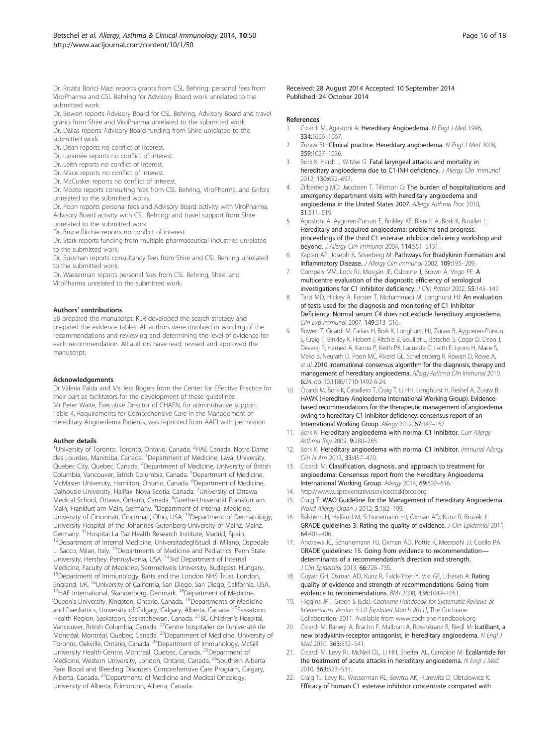<span id="page-15-0"></span>Dr. Rozita Borici-Mazi reports grants from CSL Behring; personal fees from ViroPharma and CSL Behring for Advisory Board work unrelated to the submitted work.

Dr. Bowen reports Advisory Board for CSL Behring, Advisory Board and travel grants from Shire and ViroPharma unrelated to the submitted work. Dr. Dallas reports Advisory Board funding from Shire unrelated to the submitted work.

- Dr. Dean reports no conflict of interest.
- Dr. Laramée reports no conflict of interest.
- Dr. Leith reports no conflict of interest.
- Dr. Mace reports no conflict of interest.
- Dr. McCusker reports no conflict of interest.

Dr. Moote reports consulting fees from CSL Behring, ViroPharma, and Grifols unrelated to the submitted works.

Dr. Poon reports personal fees and Advisory Board activity with ViroPharma, Advisory Board activity with CSL Behring; and travel support from Shire unrelated to the submitted work.

Dr. Bruce Ritchie reports no conflict of interest.

Dr. Stark reports funding from multiple pharmaceutical industries unrelated to the submitted work.

Dr. Sussman reports consultancy fees from Shire and CSL Behring unrelated to the submitted work.

Dr. Wasserman reports personal fees from CSL Behring, Shire, and ViroPharma unrelated to the submitted work.

#### Authors' contributions

SB prepared the manuscript. KLR developed the search strategy and prepared the evidence tables. All authors were involved in wording of the recommendations and reviewing and determining the level of evidence for each recommendation. All authors have read, revised and approved the manuscript.

#### Acknowledgements

Dr Valeria Palda and Ms Jess Rogers from the Center for Effective Practice for their part as facilitators for the development of these guidelines. Mr Peter Waite, Executive Director of CHAEN, for administrative support. Table [4,](#page-13-0) Requirements for Comprehensive Care in the Management of Hereditary Angioedema Patients, was reprinted from AACI with permission.

#### Author details

<sup>1</sup>University of Toronto, Toronto, Ontario, Canada. <sup>2</sup>HAE Canada, Notre Dame des Lourdes, Manitoba, Canada. <sup>3</sup>Department of Medicine, Laval University, Quebec City, Quebec, Canada. <sup>4</sup>Department of Medicine, University of British Columbia, Vancouver, British Columbia, Canada. <sup>5</sup>Department of Medicine, McMaster University, Hamilton, Ontario, Canada. <sup>6</sup>Department of Medicine, Dalhousie University, Halifax, Nova Scotia, Canada. <sup>7</sup>University of Ottawa Medical School, Ottawa, Ontario, Canada. <sup>8</sup>Goethe-Universität Frankfurt am Main, Frankfurt am Main, Germany. <sup>9</sup>Department of Internal Medicine, University of Cincinnati, Cincinnati, Ohio, USA. <sup>10</sup>Department of Dermatology, University Hospital of the Johannes Gutenberg-University of Mainz, Mainz, Germany. <sup>11</sup>Hospital La Paz Health Research Institute, Madrid, Spain.<br><sup>12</sup>Department of Internal Medicine, UniversitadegliStudi di Milano, Ospedale L. Sacco, Milan, Italy. <sup>13</sup>Departments of Medicine and Pediatrics, Penn State University, Hershey, Pennsylvania, USA. 143rd Department of Internal Medicine, Faculty of Medicine, Semmelweis University, Budapest, Hungary. <sup>15</sup>Department of Immunology, Barts and the London NHS Trust, London, England, UK. <sup>16</sup>University of California, San Diego, San Diego, California, USA.<br><sup>17</sup>HAE International, Skanderborg, Denmark. <sup>18</sup>Department of Medicine, Queen's University, Kingston, Ontario, Canada. 19Departments of Medicine and Paediatrics, University of Calgary, Calgary, Alberta, Canada.  $^{20}$ Saskatoon Health Region, Saskatoon, Saskatchewan, Canada. <sup>21</sup>BC Children's Hospital, Vancouver, British Columbia, Canada. <sup>22</sup>Centre hospitalier de l'université de Montréal, Montréal, Quebec, Canada. <sup>23</sup>Department of Medicine, University of Toronto, Oakville, Ontario, Canada. 24Department of Immunology, McGill University Health Centre, Montreal, Quebec, Canada. <sup>25</sup>Department of Medicine, Western University, London, Ontario, Canada. <sup>26</sup>Southern Alberta Rare Blood and Bleeding Disorders Comprehensive Care Program, Calgary, Alberta, Canada. 27Departments of Medicine and Medical Oncology, University of Alberta, Edmonton, Alberta, Canada.

Received: 28 August 2014 Accepted: 10 September 2014 Published: 24 October 2014

#### References

- 1. Cicardi M, Agastoni A: Hereditary Angioedema. N Engl J Med 1996, 334:1666–1667.
- 2. Zuraw BL: Clinical practice. Hereditary angioedema. N Engl J Med 2008. 359:1027–1036.
- 3. Bork K, Hardt J, Witzke G: Fatal laryngeal attacks and mortality in hereditary angioedema due to C1-INH deficiency. J Allergy Clin Immunol 2012, 130:692–697.
- 4. Zilberberg MD, Jacobsen T, Tillotson G: The burden of hospitalizations and emergency department visits with hereditary angioedema and angioedema in the United States 2007. Allergy Asthma Proc 2010, 31:511–519.
- 5. Agostoni A, Aygoren-Pursun E, Binkley KE, Blanch A, Bork K, Bouillet L: Hereditary and acquired angioedema: problems and progress: proceedings of the third C1 esterase inhibitor deficiency workshop and beyond. J Allergy Clin Immunol 2004, 114:S51–S131.
- 6. Kaplan AP, Joseph K, Silverberg M: Pathways for Bradykinin Formation and Inflammatory Disease. J Allergy Clin Immunol 2002, 109:195–209.
- 7. Gompels MM, Lock RJ, Morgan JE, Osborne J, Brown A, Virgo PF: A multicentre evaluation of the diagnostic efficiency of serological investigations for C1 inhibitor deficiency. J Clin Pathol 2002, 55:145–147.
- 8. Tarzi MD, Hickey A, Forster T, Mohammadi M, Longhurst HJ: An evaluation of tests used for the diagnosis and monitoring of C1 Inhibitor Deficiency: Normal serum C4 does not exclude hereditary angioedema. Clin Exp Immunol 2007, 149:513–516.
- 9. Bowen T, Cicardi M, Farkas H, Bork K, Longhurst HJ, Zuraw B, Aygoeren-Pürsün E, Craig T, Binkley K, Hebert J, Ritchie B, Bouillet L, Betschel S, Cogar D, Dean J, Devaraj R, Hamed A, Kamra P, Keith PK, Lacuesta G, Leith E, Lyons H, Mace S, Mako B, Neurath D, Poon MC, Rivard GE, Schellenberg R, Rowan D, Rowe A, et al: 2010 International consensus algorithm for the diagnosis, therapy and management of hereditary angioedema. Allergy Asthma Clin Immunol 2010, 6:24. doi:10.1186/1710-1492-6-24.
- 10. Cicardi M, Bork K, Caballero T, Craig T, Li HH, Longhurst H, Reshef A, Zuraw B: HAWK (Hereditary Angioedema International Working Group). Evidencebased recommendations for the therapeutic management of angioedema owing to hereditary C1 inhibitor deficiency: consensus report of an International Working Group. Allergy 2012, 67:147–157.
- 11. Bork K: Hereditary angioedema with normal C1 inhibitor. Curr Allergy Asthma Rep 2009, 9:280–285.
- 12. Bork K: Hereditary angioedema with normal C1 inhibitor. Immunol Allergy Clin N Am 2013, 33:457–470.
- 13. Cicardi M: Classification, diagnosis, and approach to treatment for angioedema: Consensus report from the Hereditary Angioedema International Working Group. Allergy 2014, 69:602–616.
- 14. [http://www.uspreventativeservicestaskforce.org.](http://www.uspreventativeservicestaskforce.org)
- 15. Craig T: WAO Guideline for the Management of Hereditary Angioedema. World Allergy Organ J 2012, 5:182–199.
- 16. Balshem H, Helfand M, Schunemann HJ, Oxman AD, Kunz R, Brozek J: GRADE guidelines 3: Rating the quality of evidence. J Clin Epidemiol 2011, 64:401–406.
- 17. Andrews JC, Schunemann HJ, Oxman AD, Pottie K, Meerpohl JJ, Coello PA: GRADE guidelines: 15. Going from evidence to recommendation determinants of a recommendation's direction and strength. J Clin Epidemiol 2013, 66:726–735.
- 18. Guyatt GH, Oxman AD, Kunz R, Falck-Ytter Y, Vist GE, Liberati A: Rating quality of evidence and strength of recommendations: Going from evidence to recommendations. BMJ 2008, 336:1049–1051.
- 19. Higgins JPT, Green S (Eds): Cochrane Handbook for Systematic Reviews of Interventions Version 5.1.0 [updated March 2011], The Cochrane Collaboration. 2011. Available from [www.cochrane-handbook.org](http://www.cochrane-handbook.org/).
- 20. Cicardi M, Banerji A, Bracho F, Malbran A, Rosenkranz B, Riedl M: Icatibant, a new bradykinin-receptor antagonist, in hereditary angioedema. N Engl J Med 2010, 363:532–541.
- 21. Cicardi M, Levy RJ, McNeil DL, Li HH, Sheffer AL, Campion M: Ecallantide for the treatment of acute attacks in hereditary angioedema. N Engl J Med 2010, 363:523–531.
- 22. Craig TJ, Levy RJ, Wasserman RL, Bewtra AK, Hurewitz D, Obtulowicz K: Efficacy of human C1 esterase inhibitor concentrate compared with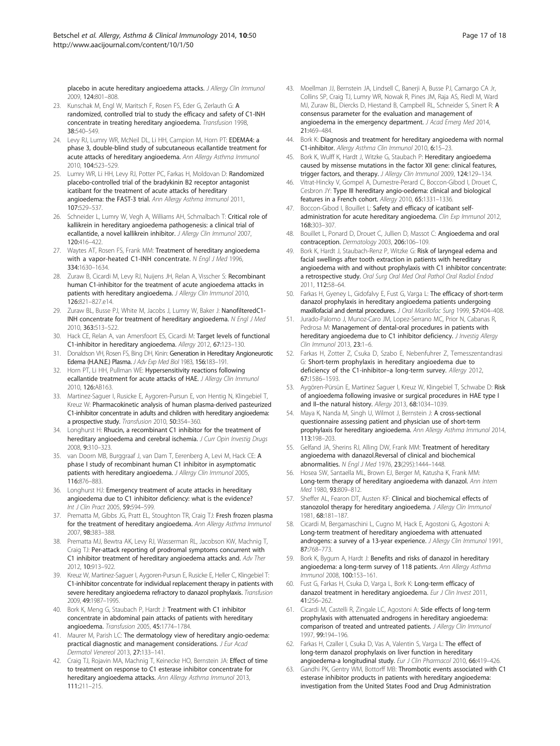<span id="page-16-0"></span>placebo in acute hereditary angioedema attacks. J Allergy Clin Immunol 2009, 124:801–808.

- 23. Kunschak M, Engl W, Maritsch F, Rosen FS, Eder G, Zerlauth G: A randomized, controlled trial to study the efficacy and safety of C1-INH concentrate in treating hereditary angioedema. Transfusion 1998, 38:540–549.
- 24. Levy RJ, Lumry WR, McNeil DL, Li HH, Campion M, Horn PT: EDEMA4: a phase 3, double-blind study of subcutaneous ecallantide treatment for acute attacks of hereditary angioedema. Ann Allergy Asthma Immunol 2010, 104:523–529.
- 25. Lumry WR, Li HH, Levy RJ, Potter PC, Farkas H, Moldovan D: Randomized placebo-controlled trial of the bradykinin B2 receptor antagonist icatibant for the treatment of acute attacks of hereditary angioedema: the FAST-3 trial. Ann Allergy Asthma Immunol 2011, 107:529–537.
- 26. Schneider L, Lumry W, Vegh A, Williams AH, Schmalbach T: Critical role of kallikrein in hereditary angioedema pathogenesis: a clinical trial of ecallantide, a novel kallikrein inhibitor. J Allergy Clin Immunol 2007, 120:416–422.
- 27. Waytes AT, Rosen FS, Frank MM: Treatment of hereditary angioedema with a vapor-heated C1-INH concentrate. N Engl J Med 1996, 334:1630–1634.
- 28. Zuraw B, Cicardi M, Levy RJ, Nuijens JH, Relan A, Visscher S: Recombinant human C1-inhibitor for the treatment of acute angioedema attacks in patients with hereditary angioedema. J Allergy Clin Immunol 2010, 126:821–827.e14.
- 29. Zuraw BL, Busse PJ, White M, Jacobs J, Lumry W, Baker J: NanofilteredC1-INH concentrate for treatment of hereditary angioedema. N Engl J Med 2010, 363:513–522.
- 30. Hack CE, Relan A, van Amersfoort ES, Cicardi M: Target levels of functional C1-inhibitor in hereditary angioedema. Allergy 2012, 67:123–130.
- 31. Donaldson VH, Rosen FS, Bing DH, Kinin: Generation in Hereditary Angioneurotic Edema (H.A.N.E.) Plasma. J Adv Exp Med Biol 1983, 156:183–191.
- 32. Horn PT, Li HH, Pullman WE: Hypersensitivity reactions following ecallantide treatment for acute attacks of HAE. J Allergy Clin Immunol 2010, 126:AB163.
- 33. Martinez-Saguer I, Rusicke E, Aygoren-Pursun E, von Hentig N, Klingebiel T, Kreuz W: Pharmacokinetic analysis of human plasma-derived pasteurized C1-inhibitor concentrate in adults and children with hereditary angioedema: a prospective study. Transfusion 2010, 50:354–360.
- 34. Longhurst H: Rhucin, a recombinant C1 inhibitor for the treatment of hereditary angioedema and cerebral ischemia. J Curr Opin Investig Drugs 2008, 9:310–323.
- 35. van Doorn MB, Burggraaf J, van Dam T, Eerenberg A, Levi M, Hack CE: A phase I study of recombinant human C1 inhibitor in asymptomatic patients with hereditary angioedema. J Allergy Clin Immunol 2005, 116:876–883.
- 36. Longhurst HJ: Emergency treatment of acute attacks in hereditary angioedema due to C1 inhibitor deficiency: what is the evidence? Int J Clin Pract 2005, 59:594-599.
- 37. Prematta M, Gibbs JG, Pratt EL, Stoughton TR, Craig TJ: Fresh frozen plasma for the treatment of hereditary angioedema. Ann Allergy Asthma Immunol 2007, 98:383–388.
- 38. Prematta MJ, Bewtra AK, Levy RJ, Wasserman RL, Jacobson KW, Machnig T, Craig TJ: Per-attack reporting of prodromal symptoms concurrent with C1 inhibitor treatment of hereditary angioedema attacks and. Adv Ther 2012, 10:913–922.
- 39. Kreuz W, Martinez-Saguer I, Aygoren-Pursun E, Rusicke E, Heller C, Klingebiel T: C1-inhibitor concentrate for individual replacement therapy in patients with severe hereditary angioedema refractory to danazol prophylaxis. Transfusion 2009, 49:1987–1995.
- 40. Bork K, Meng G, Staubach P, Hardt J: Treatment with C1 inhibitor concentrate in abdominal pain attacks of patients with hereditary angioedema. Transfusion 2005, 45:1774–1784.
- 41. Maurer M, Parish LC: The dermatology view of hereditary angio-oedema: practical diagnostic and management considerations. J Eur Acad Dermatol Venereol 2013, 27:133–141.
- 42. Craig TJ, Rojavin MA, Machnig T, Keinecke HO, Bernstein JA: Effect of time to treatment on response to C1 esterase inhibitor concentrate for hereditary angioedema attacks. Ann Allergy Asthma Immunol 2013, 111:211–215.
- 43. Moellman JJ, Bernstein JA, Lindsell C, Banerji A, Busse PJ, Camargo CA Jr, Collins SP, Craig TJ, Lumry WR, Nowak R, Pines JM, Raja AS, Riedl M, Ward MJ, Zuraw BL, Diercks D, Hiestand B, Campbell RL, Schneider S, Sinert R: A consensus parameter for the evaluation and management of angioedema in the emergency department. J Acad Emerg Med 2014, 21:469–484.
- 44. Bork K: Diagnosis and treatment for hereditary angioedema with normal C1-inhibitor. Allergy Asthma Clin Immunol 2010, 6:15–23.
- 45. Bork K, Wulff K, Hardt J, Witzke G, Staubach P: Hereditary angioedema caused by missense mutations in the factor XII gene: clinical features, trigger factors, and therapy. J Allergy Clin Immunol 2009, 124:129–134.
- 46. Vitrat-Hincky V, Gompel A, Dumestre-Perard C, Boccon-Gibod I, Drouet C, Cesbron JY: Type III hereditary angio-oedema: clinical and biological features in a French cohort. Allergy 2010, 65:1331–1336.
- 47. Boccon-Gibod I, Bouillet L: Safety and efficacy of icatibant selfadministration for acute hereditary angioedema. Clin Exp Immunol 2012, 168:303–307.
- 48. Bouillet L, Ponard D, Drouet C, Jullien D, Massot C: Angioedema and oral contraception. Dermatology 2003, 206:106–109.
- 49. Bork K, Hardt J, Staubach-Renz P, Witzke G: Risk of laryngeal edema and facial swellings after tooth extraction in patients with hereditary angioedema with and without prophylaxis with C1 inhibitor concentrate: a retrospective study. Oral Surg Oral Med Oral Pathol Oral Radiol Endod 2011, 112:58–64.
- 50. Farkas H, Gyeney L, Gidofalvy E, Fust G, Varga L: The efficacy of short-term danazol prophylaxis in hereditary angioedema patients undergoing maxillofacial and dental procedures. J Oral Maxillofac Surg 1999, 57:404–408.
- 51. Jurado-Palomo J, Munoz-Caro JM, Lopez-Serrano MC, Prior N, Cabanas R, Pedrosa M: Management of dental-oral procedures in patients with hereditary angioedema due to C1 inhibitor deficiency. J Investig Allergy Clin Immunol 2013, 23:1–6.
- 52. Farkas H, Zotter Z, Csuka D, Szabo E, Nebenfuhrer Z, Temesszentandrasi G: Short-term prophylaxis in hereditary angioedema due to deficiency of the C1-inhibitor–a long-term survey. Allergy 2012, 67:1586–1593.
- 53. Aygören-Pürsün E, Martinez Saguer I, Kreuz W, Klingebiel T, Schwabe D: Risk of angioedema following invasive or surgical procedures in HAE type I and II–the natural history. Allergy 2013, 68:1034–1039.
- 54. Maya K, Nanda M, Singh U, Wilmot J, Bernstein J: A cross-sectional questionnaire assessing patient and physician use of short-term prophylaxis for hereditary angioedema. Ann Allergy Asthma Immunol 2014, 113:198–203.
- 55. Gelfand JA, Sherins RJ, Alling DW, Frank MM: Treatment of hereditary angioedema with danazol.Reversal of clinical and biochemical abnormalities. N Engl J Med 1976, 23(295):1444–1448.
- 56. Hosea SW, Santaella ML, Brown EJ, Berger M, Katusha K, Frank MM: Long-term therapy of hereditary angioedema with danazol. Ann Intern Med 1980, 93:809–812.
- 57. Sheffer AL, Fearon DT, Austen KF: Clinical and biochemical effects of stanozolol therapy for hereditary angioedema. J Allergy Clin Immunol 1981, 68:181–187.
- 58. Cicardi M, Bergamaschini L, Cugno M, Hack E, Agostoni G, Agostoni A: Long-term treatment of hereditary angioedema with attenuated androgens: a survey of a 13-year experience. J Allergy Clin Immunol 1991, 87:768–773.
- 59. Bork K, Bygum A, Hardt J: Benefits and risks of danazol in hereditary angioedema: a long-term survey of 118 patients. Ann Allergy Asthma Immunol 2008, 100:153–161.
- 60. Fust G, Farkas H, Csuka D, Varga L, Bork K: Long-term efficacy of danazol treatment in hereditary angioedema. Eur J Clin Invest 2011, 41:256–262.
- 61. Cicardi M, Castelli R, Zingale LC, Agostoni A: Side effects of long-term prophylaxis with attenuated androgens in hereditary angioedema: comparison of treated and untreated patients. J Allergy Clin Immunol 1997, 99:194–196.
- 62. Farkas H, Czaller I, Csuka D, Vas A, Valentin S, Varga L: The effect of long-term danazol prophylaxis on liver function in hereditary angioedema-a longitudinal study. Eur J Clin Pharmacol 2010, 66:419-426.
- 63. Gandhi PK, Gentry WM, Bottorff MB: Thrombotic events associated with C1 esterase inhibitor products in patients with hereditary angioedema: investigation from the United States Food and Drug Administration